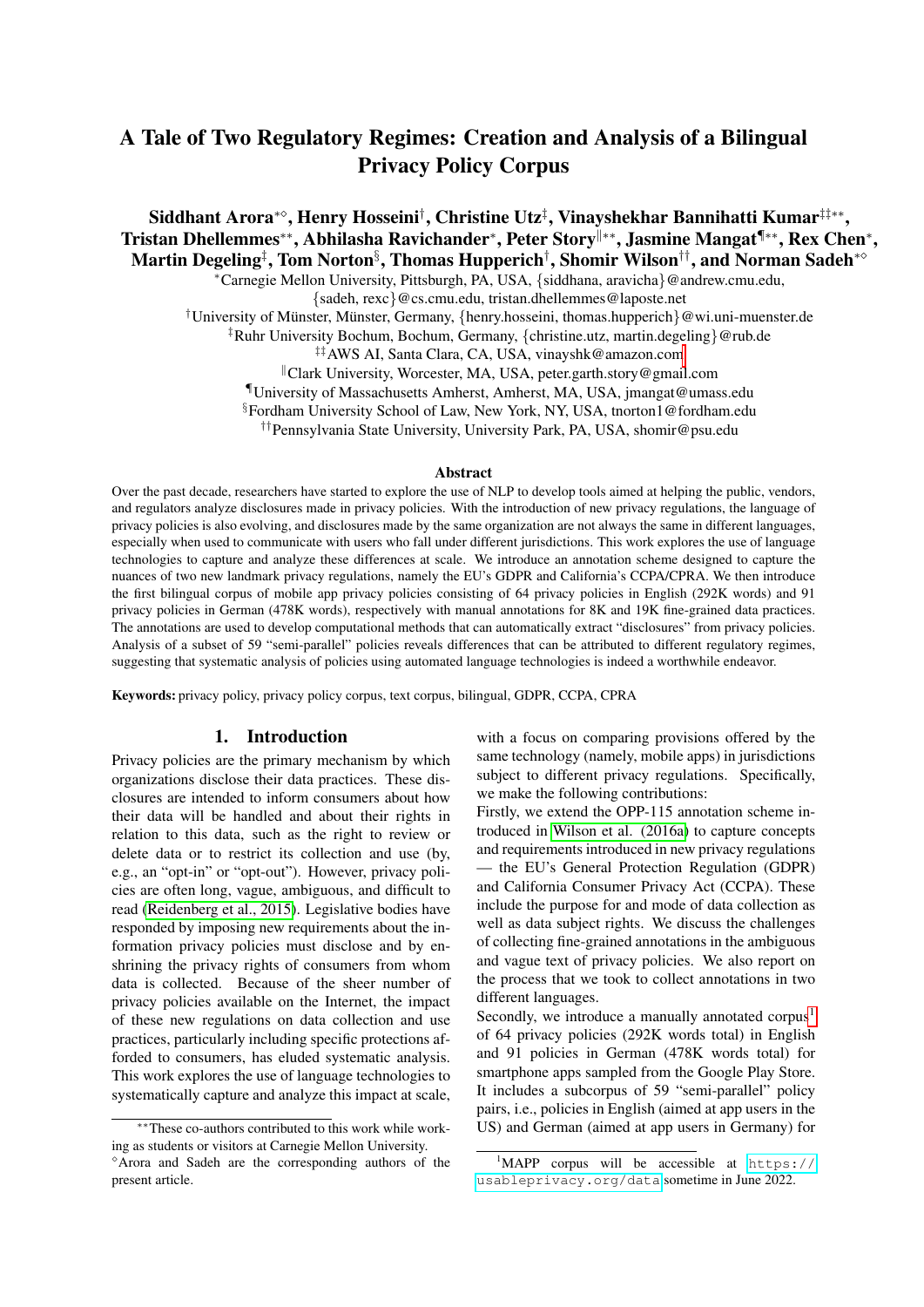# A Tale of Two Regulatory Regimes: Creation and Analysis of a Bilingual Privacy Policy Corpus

Siddhant Arora\*°, Henry Hosseini<sup>†</sup>, Christine Utz<sup>‡</sup>, Vinayshekhar Bannihatti Kumar<sup>‡‡</sup>\*\*, Tristan Dhellemmes\*\*, Abhilasha Ravichander\*, Peter Story<sup>∥∗∗</sup>, Jasmine Mangat<sup>¶</sup>\*\*, Rex Chen\*, Martin Degeling‡, Tom Norton§, Thomas Hupperich†, Shomir Wilson††, and Norman Sadeh\*°

<sup>∗</sup>Carnegie Mellon University, Pittsburgh, PA, USA, {siddhana, aravicha}@andrew.cmu.edu,

{sadeh, rexc}@cs.cmu.edu, tristan.dhellemmes@laposte.net

<sup>†</sup>University of Münster, Münster, Germany, {henry.hosseini, thomas.hupperich}@wi.uni-muenster.de

‡Ruhr University Bochum, Bochum, Germany, {christine.utz, martin.degeling}@rub.de

‡‡AWS AI, Santa Clara, CA, USA, vinayshk@amazon.com

<sup>∥</sup>Clark University, Worcester, MA, USA, peter.garth.story@gmail.com

¶University of Massachusetts Amherst, Amherst, MA, USA, jmangat@umass.edu

§Fordham University School of Law, New York, NY, USA, tnorton1@fordham.edu

††Pennsylvania State University, University Park, PA, USA, shomir@psu.edu

#### Abstract

Over the past decade, researchers have started to explore the use of NLP to develop tools aimed at helping the public, vendors, and regulators analyze disclosures made in privacy policies. With the introduction of new privacy regulations, the language of privacy policies is also evolving, and disclosures made by the same organization are not always the same in different languages, especially when used to communicate with users who fall under different jurisdictions. This work explores the use of language technologies to capture and analyze these differences at scale. We introduce an annotation scheme designed to capture the nuances of two new landmark privacy regulations, namely the EU's GDPR and California's CCPA/CPRA. We then introduce the first bilingual corpus of mobile app privacy policies consisting of 64 privacy policies in English (292K words) and 91 privacy policies in German (478K words), respectively with manual annotations for 8K and 19K fine-grained data practices. The annotations are used to develop computational methods that can automatically extract "disclosures" from privacy policies. Analysis of a subset of 59 "semi-parallel" policies reveals differences that can be attributed to different regulatory regimes, suggesting that systematic analysis of policies using automated language technologies is indeed a worthwhile endeavor.

Keywords: privacy policy, privacy policy corpus, text corpus, bilingual, GDPR, CCPA, CPRA

#### 1. Introduction

Privacy policies are the primary mechanism by which organizations disclose their data practices. These disclosures are intended to inform consumers about how their data will be handled and about their rights in relation to this data, such as the right to review or delete data or to restrict its collection and use (by, e.g., an "opt-in" or "opt-out"). However, privacy policies are often long, vague, ambiguous, and difficult to read [\(Reidenberg et al., 2015\)](#page-9-0). Legislative bodies have responded by imposing new requirements about the information privacy policies must disclose and by enshrining the privacy rights of consumers from whom data is collected. Because of the sheer number of privacy policies available on the Internet, the impact of these new regulations on data collection and use practices, particularly including specific protections afforded to consumers, has eluded systematic analysis. This work explores the use of language technologies to systematically capture and analyze this impact at scale, with a focus on comparing provisions offered by the same technology (namely, mobile apps) in jurisdictions subject to different privacy regulations. Specifically, we make the following contributions:

Firstly, we extend the OPP-115 annotation scheme introduced in [Wilson et al. \(2016a\)](#page-10-0) to capture concepts and requirements introduced in new privacy regulations — the EU's General Protection Regulation (GDPR) and California Consumer Privacy Act (CCPA). These include the purpose for and mode of data collection as well as data subject rights. We discuss the challenges of collecting fine-grained annotations in the ambiguous and vague text of privacy policies. We also report on the process that we took to collect annotations in two different languages.

Secondly, we introduce a manually annotated corpus<sup>[1](#page-0-0)</sup> of 64 privacy policies (292K words total) in English and 91 policies in German (478K words total) for smartphone apps sampled from the Google Play Store. It includes a subcorpus of 59 "semi-parallel" policy pairs, i.e., policies in English (aimed at app users in the US) and German (aimed at app users in Germany) for

<sup>∗∗</sup>These co-authors contributed to this work while working as students or visitors at Carnegie Mellon University. <sup>⋄</sup>Arora and Sadeh are the corresponding authors of the present article.

<span id="page-0-0"></span> $1$ MAPP corpus will be accessible at [https://](https://usableprivacy.org/data) [usableprivacy.org/data](https://usableprivacy.org/data) sometime in June 2022.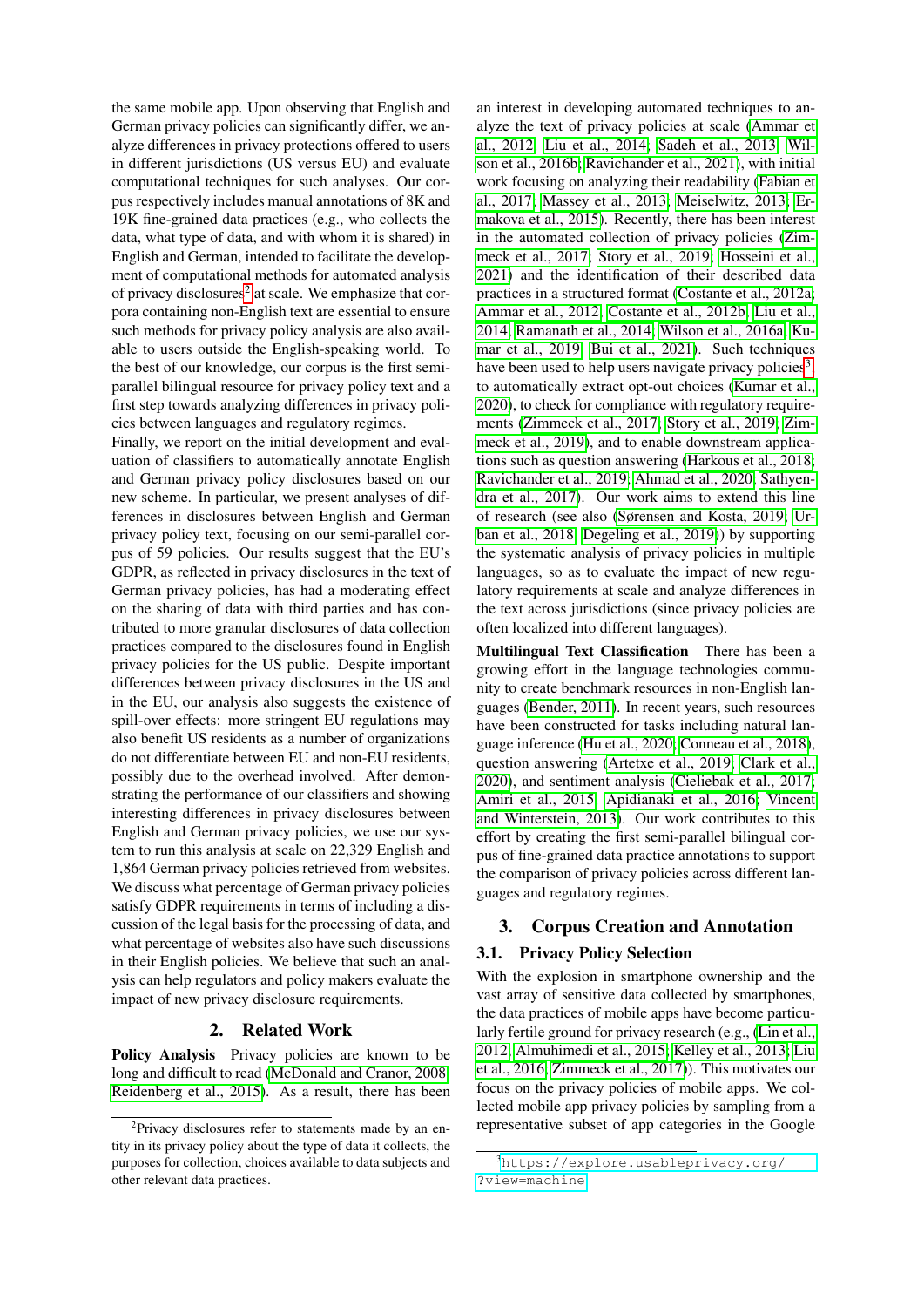the same mobile app. Upon observing that English and German privacy policies can significantly differ, we analyze differences in privacy protections offered to users in different jurisdictions (US versus EU) and evaluate computational techniques for such analyses. Our corpus respectively includes manual annotations of 8K and 19K fine-grained data practices (e.g., who collects the data, what type of data, and with whom it is shared) in English and German, intended to facilitate the development of computational methods for automated analysis of privacy disclosures<sup>[2](#page-1-0)</sup> at scale. We emphasize that corpora containing non-English text are essential to ensure such methods for privacy policy analysis are also available to users outside the English-speaking world. To the best of our knowledge, our corpus is the first semiparallel bilingual resource for privacy policy text and a first step towards analyzing differences in privacy policies between languages and regulatory regimes.

Finally, we report on the initial development and evaluation of classifiers to automatically annotate English and German privacy policy disclosures based on our new scheme. In particular, we present analyses of differences in disclosures between English and German privacy policy text, focusing on our semi-parallel corpus of 59 policies. Our results suggest that the EU's GDPR, as reflected in privacy disclosures in the text of German privacy policies, has had a moderating effect on the sharing of data with third parties and has contributed to more granular disclosures of data collection practices compared to the disclosures found in English privacy policies for the US public. Despite important differences between privacy disclosures in the US and in the EU, our analysis also suggests the existence of spill-over effects: more stringent EU regulations may also benefit US residents as a number of organizations do not differentiate between EU and non-EU residents, possibly due to the overhead involved. After demonstrating the performance of our classifiers and showing interesting differences in privacy disclosures between English and German privacy policies, we use our system to run this analysis at scale on 22,329 English and 1,864 German privacy policies retrieved from websites. We discuss what percentage of German privacy policies satisfy GDPR requirements in terms of including a discussion of the legal basis for the processing of data, and what percentage of websites also have such discussions in their English policies. We believe that such an analysis can help regulators and policy makers evaluate the impact of new privacy disclosure requirements.

### 2. Related Work

Policy Analysis Privacy policies are known to be long and difficult to read [\(McDonald and Cranor, 2008;](#page-9-1) [Reidenberg et al., 2015\)](#page-9-0). As a result, there has been

an interest in developing automated techniques to analyze the text of privacy policies at scale [\(Ammar et](#page-8-0) [al., 2012;](#page-8-0) [Liu et al., 2014;](#page-9-2) [Sadeh et al., 2013;](#page-9-3) [Wil](#page-10-1)[son et al., 2016b;](#page-10-1) [Ravichander et al., 2021\)](#page-9-4), with initial work focusing on analyzing their readability [\(Fabian et](#page-8-1) [al., 2017;](#page-8-1) [Massey et al., 2013;](#page-9-5) [Meiselwitz, 2013;](#page-9-6) [Er](#page-8-2)[makova et al., 2015\)](#page-8-2). Recently, there has been interest in the automated collection of privacy policies [\(Zim](#page-10-2)[meck et al., 2017;](#page-10-2) [Story et al., 2019;](#page-10-3) [Hosseini et al.,](#page-8-3) [2021\)](#page-8-3) and the identification of their described data practices in a structured format [\(Costante et al., 2012a;](#page-8-4) [Ammar et al., 2012;](#page-8-0) [Costante et al., 2012b;](#page-8-5) [Liu et al.,](#page-9-2) [2014;](#page-9-2) [Ramanath et al., 2014;](#page-9-7) [Wilson et al., 2016a;](#page-10-0) [Ku](#page-9-8)[mar et al., 2019;](#page-9-8) [Bui et al., 2021\)](#page-8-6). Such techniques have been used to help users navigate privacy policies<sup>[3](#page-1-1)</sup>, to automatically extract opt-out choices [\(Kumar et al.,](#page-9-9) [2020\)](#page-9-9), to check for compliance with regulatory requirements [\(Zimmeck et al., 2017;](#page-10-2) [Story et al., 2019;](#page-10-3) [Zim](#page-10-4)[meck et al., 2019\)](#page-10-4), and to enable downstream applications such as question answering [\(Harkous et al., 2018;](#page-8-7) [Ravichander et al., 2019;](#page-9-10) [Ahmad et al., 2020;](#page-8-8) [Sathyen](#page-9-11)[dra et al., 2017\)](#page-9-11). Our work aims to extend this line of research (see also [\(Sørensen and Kosta, 2019;](#page-9-12) [Ur](#page-10-5)[ban et al., 2018;](#page-10-5) [Degeling et al., 2019\)](#page-8-9)) by supporting the systematic analysis of privacy policies in multiple languages, so as to evaluate the impact of new regulatory requirements at scale and analyze differences in the text across jurisdictions (since privacy policies are often localized into different languages).

Multilingual Text Classification There has been a growing effort in the language technologies community to create benchmark resources in non-English languages [\(Bender, 2011\)](#page-8-10). In recent years, such resources have been constructed for tasks including natural language inference [\(Hu et al., 2020;](#page-8-11) [Conneau et al., 2018\)](#page-8-12), question answering [\(Artetxe et al., 2019;](#page-8-13) [Clark et al.,](#page-8-14) [2020\)](#page-8-14), and sentiment analysis [\(Cieliebak et al., 2017;](#page-8-15) [Amiri et al., 2015;](#page-8-16) [Apidianaki et al., 2016;](#page-8-17) [Vincent](#page-10-6) [and Winterstein, 2013\)](#page-10-6). Our work contributes to this effort by creating the first semi-parallel bilingual corpus of fine-grained data practice annotations to support the comparison of privacy policies across different languages and regulatory regimes.

### 3. Corpus Creation and Annotation

### <span id="page-1-2"></span>3.1. Privacy Policy Selection

With the explosion in smartphone ownership and the vast array of sensitive data collected by smartphones, the data practices of mobile apps have become particularly fertile ground for privacy research (e.g., [\(Lin et al.,](#page-9-13) [2012;](#page-9-13) [Almuhimedi et al., 2015;](#page-8-18) [Kelley et al., 2013;](#page-9-14) [Liu](#page-9-15) [et al., 2016;](#page-9-15) [Zimmeck et al., 2017\)](#page-10-2)). This motivates our focus on the privacy policies of mobile apps. We collected mobile app privacy policies by sampling from a representative subset of app categories in the Google

<span id="page-1-0"></span><sup>&</sup>lt;sup>2</sup>Privacy disclosures refer to statements made by an entity in its privacy policy about the type of data it collects, the purposes for collection, choices available to data subjects and other relevant data practices.

<span id="page-1-1"></span><sup>3</sup>[https://explore.usableprivacy.org/](https://explore.usableprivacy.org/?view=machine) [?view=machine](https://explore.usableprivacy.org/?view=machine)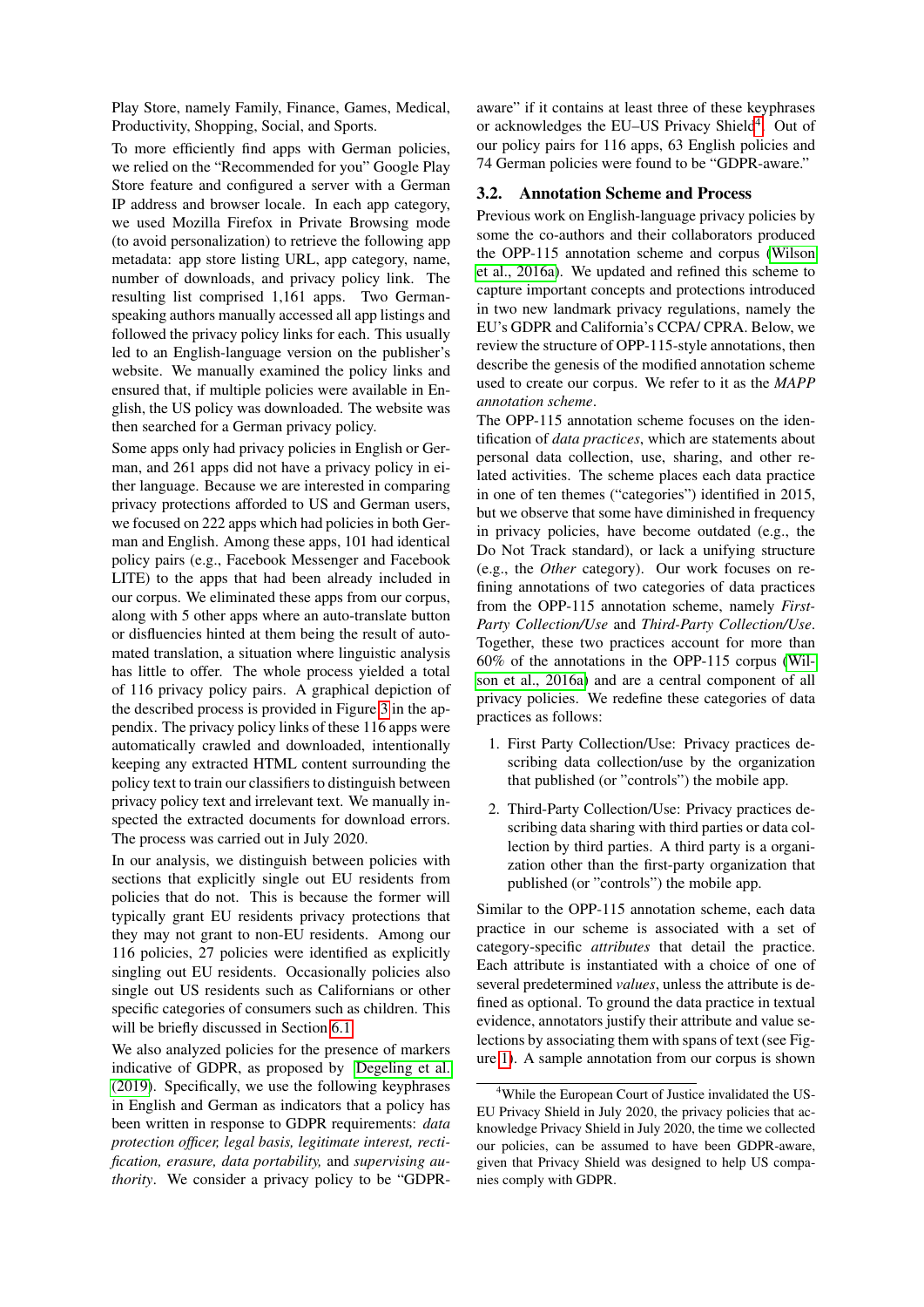Play Store, namely Family, Finance, Games, Medical, Productivity, Shopping, Social, and Sports.

To more efficiently find apps with German policies, we relied on the "Recommended for you" Google Play Store feature and configured a server with a German IP address and browser locale. In each app category, we used Mozilla Firefox in Private Browsing mode (to avoid personalization) to retrieve the following app metadata: app store listing URL, app category, name, number of downloads, and privacy policy link. The resulting list comprised 1,161 apps. Two Germanspeaking authors manually accessed all app listings and followed the privacy policy links for each. This usually led to an English-language version on the publisher's website. We manually examined the policy links and ensured that, if multiple policies were available in English, the US policy was downloaded. The website was then searched for a German privacy policy.

Some apps only had privacy policies in English or German, and 261 apps did not have a privacy policy in either language. Because we are interested in comparing privacy protections afforded to US and German users, we focused on 222 apps which had policies in both German and English. Among these apps, 101 had identical policy pairs (e.g., Facebook Messenger and Facebook LITE) to the apps that had been already included in our corpus. We eliminated these apps from our corpus, along with 5 other apps where an auto-translate button or disfluencies hinted at them being the result of automated translation, a situation where linguistic analysis has little to offer. The whole process yielded a total of 116 privacy policy pairs. A graphical depiction of the described process is provided in Figure [3](#page-12-0) in the appendix. The privacy policy links of these 116 apps were automatically crawled and downloaded, intentionally keeping any extracted HTML content surrounding the policy text to train our classifiers to distinguish between privacy policy text and irrelevant text. We manually inspected the extracted documents for download errors. The process was carried out in July 2020.

In our analysis, we distinguish between policies with sections that explicitly single out EU residents from policies that do not. This is because the former will typically grant EU residents privacy protections that they may not grant to non-EU residents. Among our 116 policies, 27 policies were identified as explicitly singling out EU residents. Occasionally policies also single out US residents such as Californians or other specific categories of consumers such as children. This will be briefly discussed in Section [6.1.](#page-6-0)

We also analyzed policies for the presence of markers indicative of GDPR, as proposed by [Degeling et al.](#page-8-9) [\(2019\)](#page-8-9). Specifically, we use the following keyphrases in English and German as indicators that a policy has been written in response to GDPR requirements: *data protection officer, legal basis, legitimate interest, rectification, erasure, data portability,* and *supervising authority*. We consider a privacy policy to be "GDPR- aware" if it contains at least three of these keyphrases or acknowledges the EU-US Privacy Shield<sup>[4](#page-2-0)</sup>. Out of our policy pairs for 116 apps, 63 English policies and 74 German policies were found to be "GDPR-aware."

### <span id="page-2-1"></span>3.2. Annotation Scheme and Process

Previous work on English-language privacy policies by some the co-authors and their collaborators produced the OPP-115 annotation scheme and corpus [\(Wilson](#page-10-0) [et al., 2016a\)](#page-10-0). We updated and refined this scheme to capture important concepts and protections introduced in two new landmark privacy regulations, namely the EU's GDPR and California's CCPA/ CPRA. Below, we review the structure of OPP-115-style annotations, then describe the genesis of the modified annotation scheme used to create our corpus. We refer to it as the *MAPP annotation scheme*.

The OPP-115 annotation scheme focuses on the identification of *data practices*, which are statements about personal data collection, use, sharing, and other related activities. The scheme places each data practice in one of ten themes ("categories") identified in 2015, but we observe that some have diminished in frequency in privacy policies, have become outdated (e.g., the Do Not Track standard), or lack a unifying structure (e.g., the *Other* category). Our work focuses on refining annotations of two categories of data practices from the OPP-115 annotation scheme, namely *First-Party Collection/Use* and *Third-Party Collection/Use*. Together, these two practices account for more than 60% of the annotations in the OPP-115 corpus [\(Wil](#page-10-0)[son et al., 2016a\)](#page-10-0) and are a central component of all privacy policies. We redefine these categories of data practices as follows:

- 1. First Party Collection/Use: Privacy practices describing data collection/use by the organization that published (or "controls") the mobile app.
- 2. Third-Party Collection/Use: Privacy practices describing data sharing with third parties or data collection by third parties. A third party is a organization other than the first-party organization that published (or "controls") the mobile app.

Similar to the OPP-115 annotation scheme, each data practice in our scheme is associated with a set of category-specific *attributes* that detail the practice. Each attribute is instantiated with a choice of one of several predetermined *values*, unless the attribute is defined as optional. To ground the data practice in textual evidence, annotators justify their attribute and value selections by associating them with spans of text (see Figure [1\)](#page-3-0). A sample annotation from our corpus is shown

<span id="page-2-0"></span><sup>&</sup>lt;sup>4</sup>While the European Court of Justice invalidated the US-EU Privacy Shield in July 2020, the privacy policies that acknowledge Privacy Shield in July 2020, the time we collected our policies, can be assumed to have been GDPR-aware, given that Privacy Shield was designed to help US companies comply with GDPR.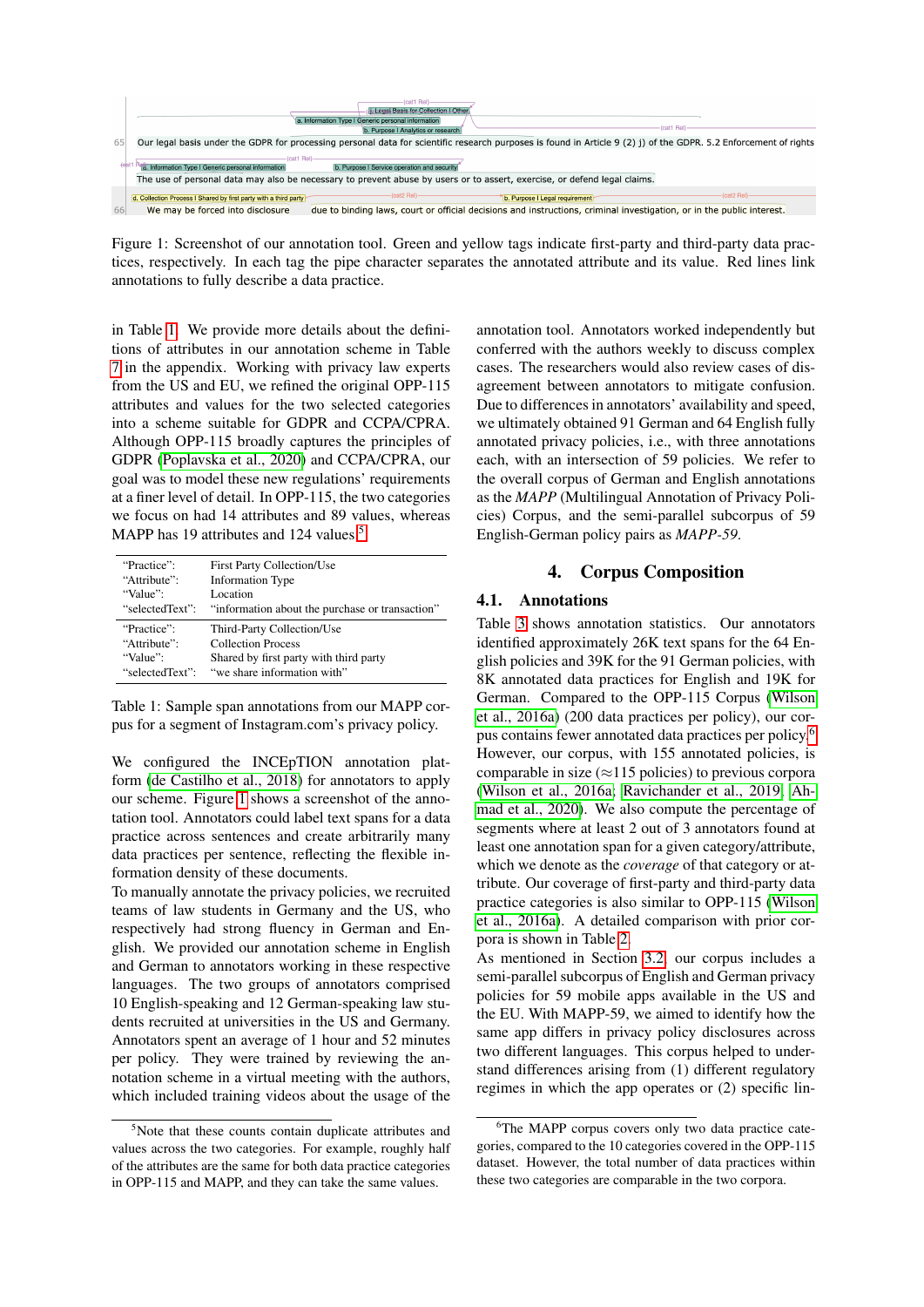

<span id="page-3-0"></span>Figure 1: Screenshot of our annotation tool. Green and yellow tags indicate first-party and third-party data practices, respectively. In each tag the pipe character separates the annotated attribute and its value. Red lines link annotations to fully describe a data practice.

in Table [1.](#page-3-1) We provide more details about the definitions of attributes in our annotation scheme in Table [7](#page-11-0) in the appendix. Working with privacy law experts from the US and EU, we refined the original OPP-115 attributes and values for the two selected categories into a scheme suitable for GDPR and CCPA/CPRA. Although OPP-115 broadly captures the principles of GDPR [\(Poplavska et al., 2020\)](#page-9-16) and CCPA/CPRA, our goal was to model these new regulations' requirements at a finer level of detail. In OPP-115, the two categories we focus on had 14 attributes and 89 values, whereas MAPP has 19 attributes and 124 values.<sup>[5](#page-3-2)</sup>

| "Practice":     | <b>First Party Collection/Use</b>               |
|-----------------|-------------------------------------------------|
| "Attribute":    | <b>Information Type</b>                         |
| "Value":        | Location                                        |
| "selectedText": | "information about the purchase or transaction" |
| "Practice":     | Third-Party Collection/Use                      |
| "Attribute":    | <b>Collection Process</b>                       |
| "Value":        | Shared by first party with third party          |
| "selectedText": | "we share information with"                     |

<span id="page-3-1"></span>Table 1: Sample span annotations from our MAPP corpus for a segment of Instagram.com's privacy policy.

We configured the INCE<sub>p</sub>TION annotation platform [\(de Castilho et al., 2018\)](#page-8-19) for annotators to apply our scheme. Figure [1](#page-3-0) shows a screenshot of the annotation tool. Annotators could label text spans for a data practice across sentences and create arbitrarily many data practices per sentence, reflecting the flexible information density of these documents.

To manually annotate the privacy policies, we recruited teams of law students in Germany and the US, who respectively had strong fluency in German and English. We provided our annotation scheme in English and German to annotators working in these respective languages. The two groups of annotators comprised 10 English-speaking and 12 German-speaking law students recruited at universities in the US and Germany. Annotators spent an average of 1 hour and 52 minutes per policy. They were trained by reviewing the annotation scheme in a virtual meeting with the authors, which included training videos about the usage of the annotation tool. Annotators worked independently but conferred with the authors weekly to discuss complex cases. The researchers would also review cases of disagreement between annotators to mitigate confusion. Due to differences in annotators' availability and speed, we ultimately obtained 91 German and 64 English fully annotated privacy policies, i.e., with three annotations each, with an intersection of 59 policies. We refer to the overall corpus of German and English annotations as the *MAPP* (Multilingual Annotation of Privacy Policies) Corpus, and the semi-parallel subcorpus of 59 English-German policy pairs as *MAPP-59*.

### 4. Corpus Composition

### 4.1. Annotations

Table [3](#page-4-0) shows annotation statistics. Our annotators identified approximately 26K text spans for the 64 English policies and 39K for the 91 German policies, with 8K annotated data practices for English and 19K for German. Compared to the OPP-115 Corpus [\(Wilson](#page-10-0) [et al., 2016a\)](#page-10-0) (200 data practices per policy), our corpus contains fewer annotated data practices per policy.[6](#page-3-3) However, our corpus, with 155 annotated policies, is comparable in size ( $\approx$ 115 policies) to previous corpora [\(Wilson et al., 2016a;](#page-10-0) [Ravichander et al., 2019;](#page-9-10) [Ah](#page-8-8)[mad et al., 2020\)](#page-8-8). We also compute the percentage of segments where at least 2 out of 3 annotators found at least one annotation span for a given category/attribute, which we denote as the *coverage* of that category or attribute. Our coverage of first-party and third-party data practice categories is also similar to OPP-115 [\(Wilson](#page-10-0) [et al., 2016a\)](#page-10-0). A detailed comparison with prior corpora is shown in Table [2.](#page-4-1)

As mentioned in Section [3.2,](#page-2-1) our corpus includes a semi-parallel subcorpus of English and German privacy policies for 59 mobile apps available in the US and the EU. With MAPP-59, we aimed to identify how the same app differs in privacy policy disclosures across two different languages. This corpus helped to understand differences arising from (1) different regulatory regimes in which the app operates or (2) specific lin-

<span id="page-3-2"></span><sup>&</sup>lt;sup>5</sup>Note that these counts contain duplicate attributes and values across the two categories. For example, roughly half of the attributes are the same for both data practice categories in OPP-115 and MAPP, and they can take the same values.

<span id="page-3-3"></span><sup>&</sup>lt;sup>6</sup>The MAPP corpus covers only two data practice categories, compared to the 10 categories covered in the OPP-115 dataset. However, the total number of data practices within these two categories are comparable in the two corpora.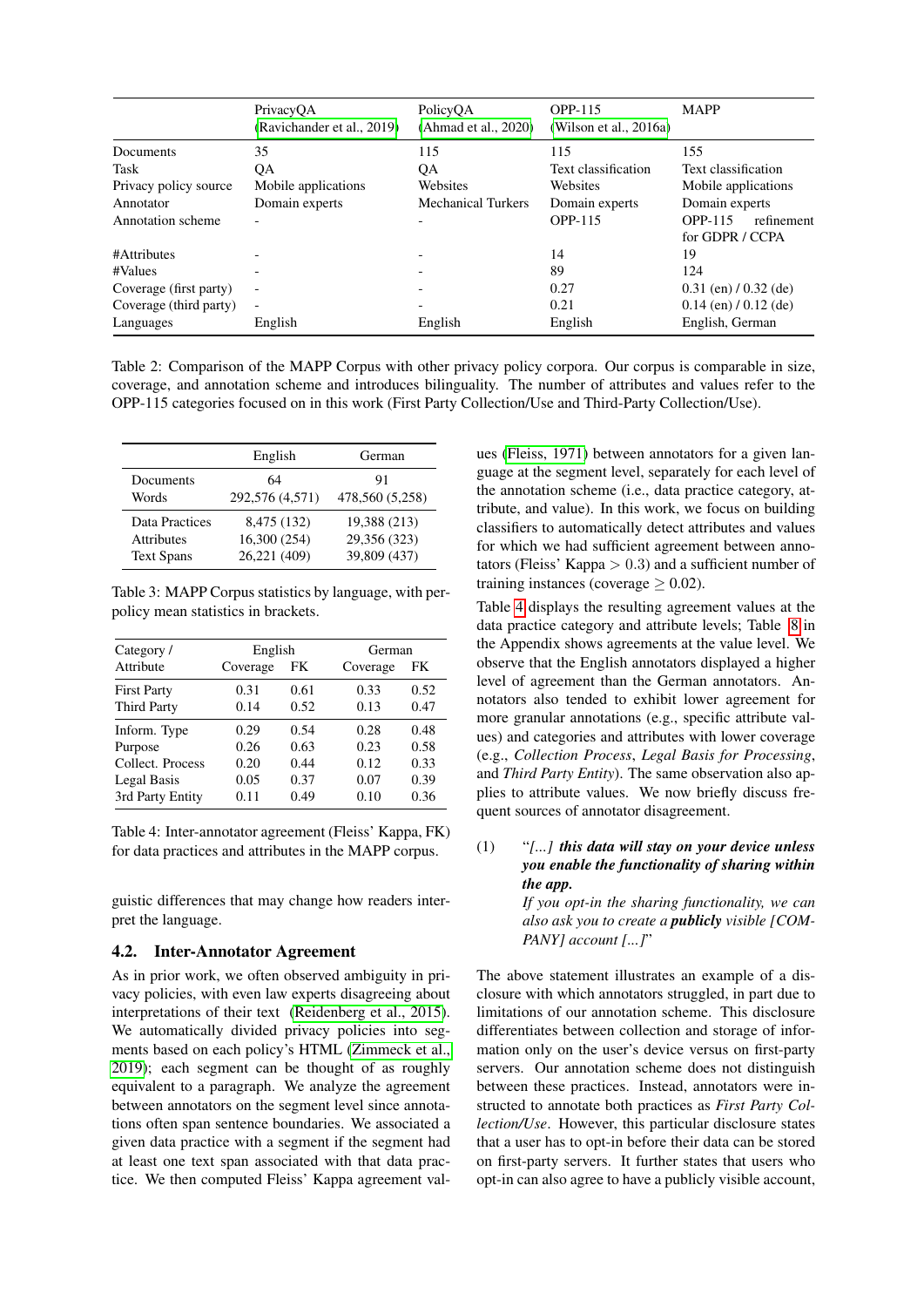|                        | PrivacyOA<br>(Ravichander et al., 2019) | PolicyOA<br>(Ahmad et al., 2020) | OPP-115<br>(Wilson et al., $2016a$ ) | <b>MAPP</b>                              |  |
|------------------------|-----------------------------------------|----------------------------------|--------------------------------------|------------------------------------------|--|
| Documents              | 35                                      | 115                              | 115                                  | 155                                      |  |
| Task                   | QA                                      | QA                               | Text classification                  | Text classification                      |  |
| Privacy policy source  | Mobile applications                     | Websites                         | Websites                             | Mobile applications                      |  |
| Annotator              | Domain experts                          | <b>Mechanical Turkers</b>        | Domain experts                       | Domain experts                           |  |
| Annotation scheme      |                                         |                                  | <b>OPP-115</b>                       | OPP-115<br>refinement<br>for GDPR / CCPA |  |
| #Attributes            |                                         |                                  | 14                                   | 19                                       |  |
| #Values                |                                         |                                  | 89                                   | 124                                      |  |
| Coverage (first party) | $\overline{\phantom{0}}$                |                                  | 0.27                                 | $0.31$ (en) $/ 0.32$ (de)                |  |
| Coverage (third party) | $\overline{\phantom{a}}$                |                                  | 0.21                                 | $0.14$ (en) $/ 0.12$ (de)                |  |
| Languages              | English                                 | English                          | English                              | English, German                          |  |

<span id="page-4-1"></span>Table 2: Comparison of the MAPP Corpus with other privacy policy corpora. Our corpus is comparable in size, coverage, and annotation scheme and introduces bilinguality. The number of attributes and values refer to the OPP-115 categories focused on in this work (First Party Collection/Use and Third-Party Collection/Use).

|                   | English         | German          |
|-------------------|-----------------|-----------------|
| Documents         | 64              | 91              |
| Words             | 292,576 (4,571) | 478,560 (5,258) |
| Data Practices    | 8,475 (132)     | 19,388 (213)    |
| <b>Attributes</b> | 16,300 (254)    | 29,356 (323)    |
| <b>Text Spans</b> | 26,221 (409)    | 39,809 (437)    |

<span id="page-4-0"></span>Table 3: MAPP Corpus statistics by language, with perpolicy mean statistics in brackets.

| Category/          | English        |      |          | German |  |  |
|--------------------|----------------|------|----------|--------|--|--|
| Attribute          | Coverage<br>FK |      | Coverage | FK     |  |  |
| <b>First Party</b> | 0.31           | 0.61 | 0.33     | 0.52   |  |  |
| <b>Third Party</b> | 0.14           | 0.52 | 0.13     | 0.47   |  |  |
| Inform. Type       | 0.29           | 0.54 | 0.28     | 0.48   |  |  |
| Purpose            | 0.26           | 0.63 | 0.23     | 0.58   |  |  |
| Collect. Process   | 0.20           | 0.44 | 0.12     | 0.33   |  |  |
| Legal Basis        | 0.05           | 0.37 | 0.07     | 0.39   |  |  |
| 3rd Party Entity   | 0.11           | 0.49 | 0.10     | 0.36   |  |  |

<span id="page-4-2"></span>Table 4: Inter-annotator agreement (Fleiss' Kappa, FK) for data practices and attributes in the MAPP corpus.

guistic differences that may change how readers interpret the language.

### 4.2. Inter-Annotator Agreement

As in prior work, we often observed ambiguity in privacy policies, with even law experts disagreeing about interpretations of their text [\(Reidenberg et al., 2015\)](#page-9-0). We automatically divided privacy policies into segments based on each policy's HTML [\(Zimmeck et al.,](#page-10-4) [2019\)](#page-10-4); each segment can be thought of as roughly equivalent to a paragraph. We analyze the agreement between annotators on the segment level since annotations often span sentence boundaries. We associated a given data practice with a segment if the segment had at least one text span associated with that data practice. We then computed Fleiss' Kappa agreement values [\(Fleiss, 1971\)](#page-8-20) between annotators for a given language at the segment level, separately for each level of the annotation scheme (i.e., data practice category, attribute, and value). In this work, we focus on building classifiers to automatically detect attributes and values for which we had sufficient agreement between annotators (Fleiss' Kappa  $> 0.3$ ) and a sufficient number of training instances (coverage  $> 0.02$ ).

Table [4](#page-4-2) displays the resulting agreement values at the data practice category and attribute levels; Table [8](#page-11-1) in the Appendix shows agreements at the value level. We observe that the English annotators displayed a higher level of agreement than the German annotators. Annotators also tended to exhibit lower agreement for more granular annotations (e.g., specific attribute values) and categories and attributes with lower coverage (e.g., *Collection Process*, *Legal Basis for Processing*, and *Third Party Entity*). The same observation also applies to attribute values. We now briefly discuss frequent sources of annotator disagreement.

(1) "*[...] this data will stay on your device unless you enable the functionality of sharing within the app.*

*If you opt-in the sharing functionality, we can also ask you to create a publicly visible [COM-PANY] account [...]*"

The above statement illustrates an example of a disclosure with which annotators struggled, in part due to limitations of our annotation scheme. This disclosure differentiates between collection and storage of information only on the user's device versus on first-party servers. Our annotation scheme does not distinguish between these practices. Instead, annotators were instructed to annotate both practices as *First Party Collection/Use*. However, this particular disclosure states that a user has to opt-in before their data can be stored on first-party servers. It further states that users who opt-in can also agree to have a publicly visible account,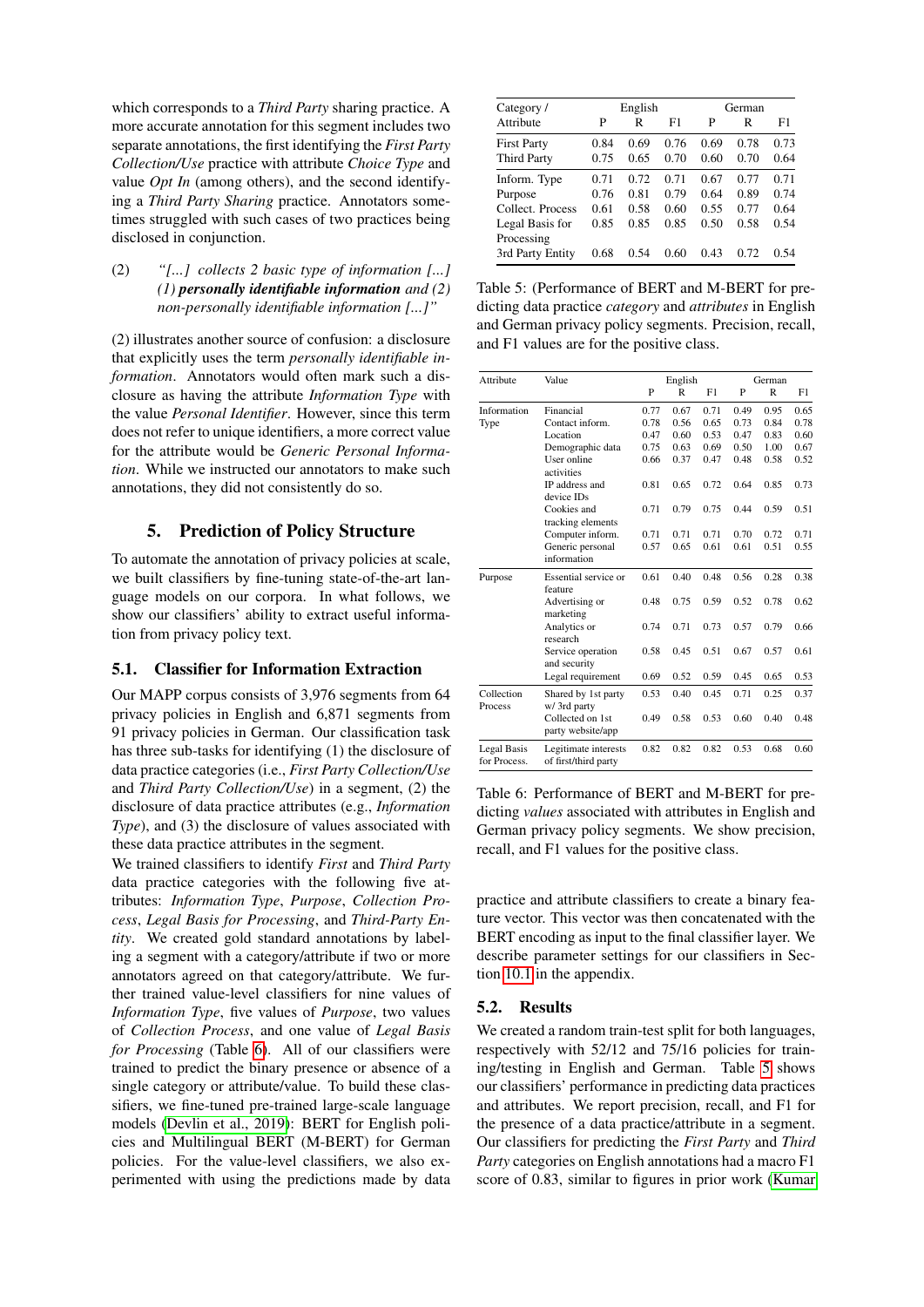which corresponds to a *Third Party* sharing practice. A more accurate annotation for this segment includes two separate annotations, the first identifying the *First Party Collection/Use* practice with attribute *Choice Type* and value *Opt In* (among others), and the second identifying a *Third Party Sharing* practice. Annotators sometimes struggled with such cases of two practices being disclosed in conjunction.

(2) *"[...] collects 2 basic type of information [...] (1) personally identifiable information and (2) non-personally identifiable information [...]"*

(2) illustrates another source of confusion: a disclosure that explicitly uses the term *personally identifiable information*. Annotators would often mark such a disclosure as having the attribute *Information Type* with the value *Personal Identifier*. However, since this term does not refer to unique identifiers, a more correct value for the attribute would be *Generic Personal Information*. While we instructed our annotators to make such annotations, they did not consistently do so.

### 5. Prediction of Policy Structure

To automate the annotation of privacy policies at scale, we built classifiers by fine-tuning state-of-the-art language models on our corpora. In what follows, we show our classifiers' ability to extract useful information from privacy policy text.

### 5.1. Classifier for Information Extraction

Our MAPP corpus consists of 3,976 segments from 64 privacy policies in English and 6,871 segments from 91 privacy policies in German. Our classification task has three sub-tasks for identifying (1) the disclosure of data practice categories (i.e., *First Party Collection/Use* and *Third Party Collection/Use*) in a segment, (2) the disclosure of data practice attributes (e.g., *Information Type*), and (3) the disclosure of values associated with these data practice attributes in the segment.

We trained classifiers to identify *First* and *Third Party* data practice categories with the following five attributes: *Information Type*, *Purpose*, *Collection Process*, *Legal Basis for Processing*, and *Third-Party Entity*. We created gold standard annotations by labeling a segment with a category/attribute if two or more annotators agreed on that category/attribute. We further trained value-level classifiers for nine values of *Information Type*, five values of *Purpose*, two values of *Collection Process*, and one value of *Legal Basis for Processing* (Table [6\)](#page-5-0). All of our classifiers were trained to predict the binary presence or absence of a single category or attribute/value. To build these classifiers, we fine-tuned pre-trained large-scale language models [\(Devlin et al., 2019\)](#page-8-21): BERT for English policies and Multilingual BERT (M-BERT) for German policies. For the value-level classifiers, we also experimented with using the predictions made by data

| Category /                     |      | English |      | German |      |      |
|--------------------------------|------|---------|------|--------|------|------|
| Attribute                      | P    | R       | F1   | P      | R    | F1   |
| <b>First Party</b>             | 0.84 | 0.69    | 0.76 | 0.69   | 0.78 | 0.73 |
| Third Party                    | 0.75 | 0.65    | 0.70 | 0.60   | 0.70 | 0.64 |
| Inform. Type                   | 0.71 | 0.72    | 0.71 | 0.67   | 0.77 | 0.71 |
| Purpose                        | 0.76 | 0.81    | 0.79 | 0.64   | 0.89 | 0.74 |
| Collect. Process               | 0.61 | 0.58    | 0.60 | 0.55   | 0.77 | 0.64 |
| Legal Basis for                | 0.85 | 0.85    | 0.85 | 0.50   | 0.58 | 0.54 |
| Processing<br>3rd Party Entity | 0.68 | 0.54    | 0.60 | 0.43   | 0.72 | 0.54 |

<span id="page-5-1"></span>Table 5: (Performance of BERT and M-BERT for predicting data practice *category* and *attributes* in English and German privacy policy segments. Precision, recall, and F1 values are for the positive class.

| Attribute                   | Value                                        |      | English |      |      | German       |      |  |
|-----------------------------|----------------------------------------------|------|---------|------|------|--------------|------|--|
|                             |                                              | P    | R       | F1   | P    | $\mathbb{R}$ | F1   |  |
| Information                 | Financial                                    | 0.77 | 0.67    | 0.71 | 0.49 | 0.95         | 0.65 |  |
| Type                        | Contact inform.                              | 0.78 | 0.56    | 0.65 | 0.73 | 0.84         | 0.78 |  |
|                             | Location                                     | 0.47 | 0.60    | 0.53 | 0.47 | 0.83         | 0.60 |  |
|                             | Demographic data                             | 0.75 | 0.63    | 0.69 | 0.50 | 1.00         | 0.67 |  |
|                             | User online<br>activities                    | 0.66 | 0.37    | 0.47 | 0.48 | 0.58         | 0.52 |  |
|                             | IP address and<br>device IDs                 | 0.81 | 0.65    | 0.72 | 0.64 | 0.85         | 0.73 |  |
|                             | Cookies and<br>tracking elements             | 0.71 | 0.79    | 0.75 | 0.44 | 0.59         | 0.51 |  |
|                             | Computer inform.                             | 0.71 | 0.71    | 0.71 | 0.70 | 0.72         | 0.71 |  |
|                             | Generic personal<br>information              | 0.57 | 0.65    | 0.61 | 0.61 | 0.51         | 0.55 |  |
| Purpose                     | Essential service or<br>feature              | 0.61 | 0.40    | 0.48 | 0.56 | 0.28         | 0.38 |  |
|                             | Advertising or<br>marketing                  | 0.48 | 0.75    | 0.59 | 0.52 | 0.78         | 0.62 |  |
|                             | Analytics or<br>research                     | 0.74 | 0.71    | 0.73 | 0.57 | 0.79         | 0.66 |  |
|                             | Service operation<br>and security            | 0.58 | 0.45    | 0.51 | 0.67 | 0.57         | 0.61 |  |
|                             | Legal requirement                            | 0.69 | 0.52    | 0.59 | 0.45 | 0.65         | 0.53 |  |
| Collection<br>Process       | Shared by 1st party<br>w/ 3rd party          | 0.53 | 0.40    | 0.45 | 0.71 | 0.25         | 0.37 |  |
|                             | Collected on 1st<br>party website/app        | 0.49 | 0.58    | 0.53 | 0.60 | 0.40         | 0.48 |  |
| Legal Basis<br>for Process. | Legitimate interests<br>of first/third party | 0.82 | 0.82    | 0.82 | 0.53 | 0.68         | 0.60 |  |

<span id="page-5-0"></span>Table 6: Performance of BERT and M-BERT for predicting *values* associated with attributes in English and German privacy policy segments. We show precision, recall, and F1 values for the positive class.

practice and attribute classifiers to create a binary feature vector. This vector was then concatenated with the BERT encoding as input to the final classifier layer. We describe parameter settings for our classifiers in Section [10.1](#page-10-7) in the appendix.

### 5.2. Results

We created a random train-test split for both languages, respectively with 52/12 and 75/16 policies for training/testing in English and German. Table [5](#page-5-1) shows our classifiers' performance in predicting data practices and attributes. We report precision, recall, and F1 for the presence of a data practice/attribute in a segment. Our classifiers for predicting the *First Party* and *Third Party* categories on English annotations had a macro F1 score of 0.83, similar to figures in prior work [\(Kumar](#page-9-8)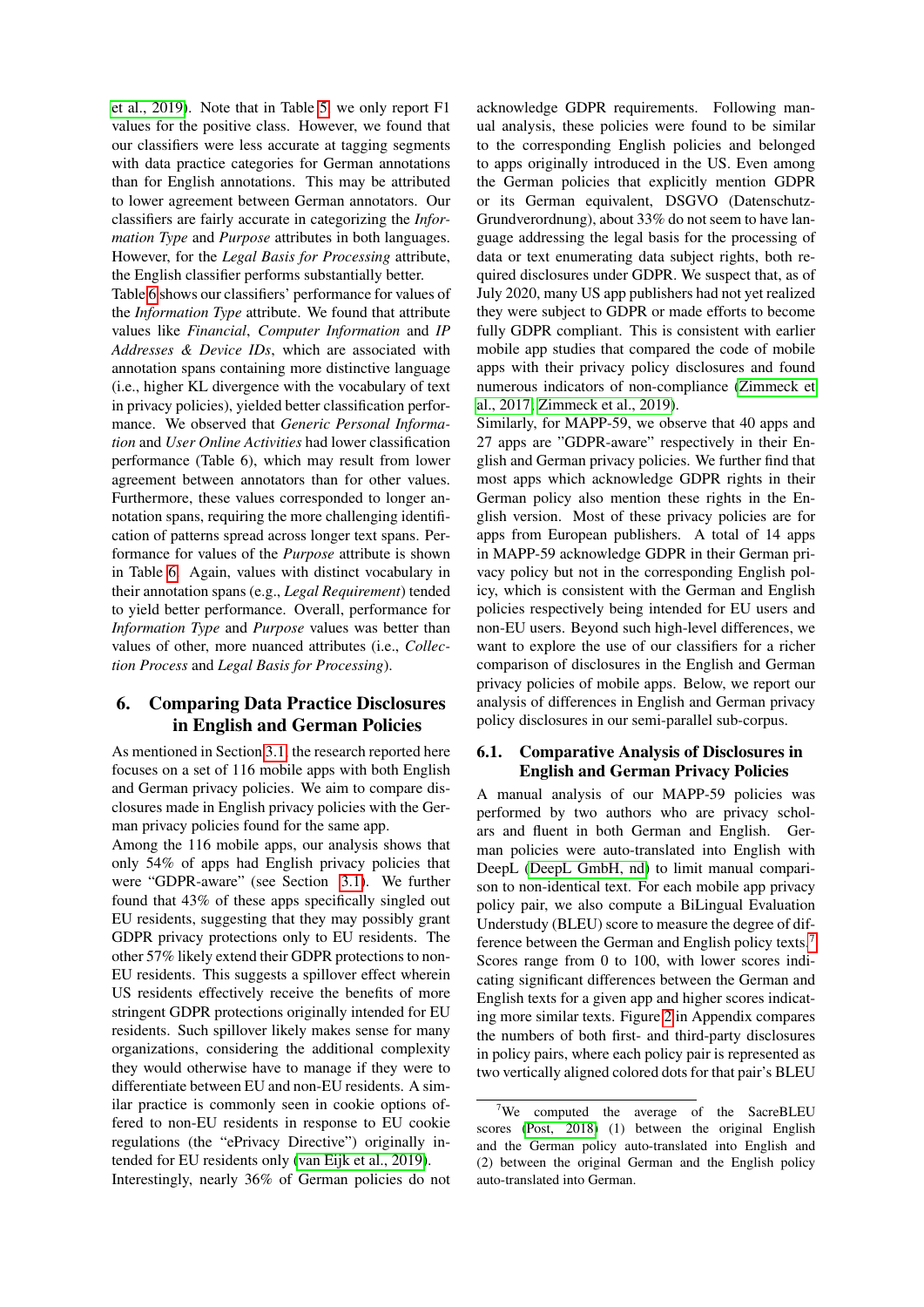[et al., 2019\)](#page-9-8). Note that in Table [5,](#page-5-1) we only report F1 values for the positive class. However, we found that our classifiers were less accurate at tagging segments with data practice categories for German annotations than for English annotations. This may be attributed to lower agreement between German annotators. Our classifiers are fairly accurate in categorizing the *Information Type* and *Purpose* attributes in both languages. However, for the *Legal Basis for Processing* attribute, the English classifier performs substantially better.

Table [6](#page-5-0) shows our classifiers' performance for values of the *Information Type* attribute. We found that attribute values like *Financial*, *Computer Information* and *IP Addresses & Device IDs*, which are associated with annotation spans containing more distinctive language (i.e., higher KL divergence with the vocabulary of text in privacy policies), yielded better classification performance. We observed that *Generic Personal Information* and *User Online Activities* had lower classification performance (Table 6), which may result from lower agreement between annotators than for other values. Furthermore, these values corresponded to longer annotation spans, requiring the more challenging identification of patterns spread across longer text spans. Performance for values of the *Purpose* attribute is shown in Table [6.](#page-5-0) Again, values with distinct vocabulary in their annotation spans (e.g., *Legal Requirement*) tended to yield better performance. Overall, performance for *Information Type* and *Purpose* values was better than values of other, more nuanced attributes (i.e., *Collection Process* and *Legal Basis for Processing*).

# 6. Comparing Data Practice Disclosures in English and German Policies

As mentioned in Section [3.1,](#page-1-2) the research reported here focuses on a set of 116 mobile apps with both English and German privacy policies. We aim to compare disclosures made in English privacy policies with the German privacy policies found for the same app.

Among the 116 mobile apps, our analysis shows that only 54% of apps had English privacy policies that were "GDPR-aware" (see Section [3.1\)](#page-1-2). We further found that 43% of these apps specifically singled out EU residents, suggesting that they may possibly grant GDPR privacy protections only to EU residents. The other 57% likely extend their GDPR protections to non-EU residents. This suggests a spillover effect wherein US residents effectively receive the benefits of more stringent GDPR protections originally intended for EU residents. Such spillover likely makes sense for many organizations, considering the additional complexity they would otherwise have to manage if they were to differentiate between EU and non-EU residents. A similar practice is commonly seen in cookie options offered to non-EU residents in response to EU cookie regulations (the "ePrivacy Directive") originally intended for EU residents only [\(van Eijk et al., 2019\)](#page-10-8).

Interestingly, nearly 36% of German policies do not

acknowledge GDPR requirements. Following manual analysis, these policies were found to be similar to the corresponding English policies and belonged to apps originally introduced in the US. Even among the German policies that explicitly mention GDPR or its German equivalent, DSGVO (Datenschutz-Grundverordnung), about 33% do not seem to have language addressing the legal basis for the processing of data or text enumerating data subject rights, both required disclosures under GDPR. We suspect that, as of July 2020, many US app publishers had not yet realized they were subject to GDPR or made efforts to become fully GDPR compliant. This is consistent with earlier mobile app studies that compared the code of mobile apps with their privacy policy disclosures and found numerous indicators of non-compliance [\(Zimmeck et](#page-10-2) [al., 2017;](#page-10-2) [Zimmeck et al., 2019\)](#page-10-4).

Similarly, for MAPP-59, we observe that 40 apps and 27 apps are "GDPR-aware" respectively in their English and German privacy policies. We further find that most apps which acknowledge GDPR rights in their German policy also mention these rights in the English version. Most of these privacy policies are for apps from European publishers. A total of 14 apps in MAPP-59 acknowledge GDPR in their German privacy policy but not in the corresponding English policy, which is consistent with the German and English policies respectively being intended for EU users and non-EU users. Beyond such high-level differences, we want to explore the use of our classifiers for a richer comparison of disclosures in the English and German privacy policies of mobile apps. Below, we report our analysis of differences in English and German privacy policy disclosures in our semi-parallel sub-corpus.

### <span id="page-6-0"></span>6.1. Comparative Analysis of Disclosures in English and German Privacy Policies

A manual analysis of our MAPP-59 policies was performed by two authors who are privacy scholars and fluent in both German and English. German policies were auto-translated into English with DeepL [\(DeepL GmbH, nd\)](#page-8-22) to limit manual comparison to non-identical text. For each mobile app privacy policy pair, we also compute a BiLingual Evaluation Understudy (BLEU) score to measure the degree of difference between the German and English policy texts.[7](#page-6-1) Scores range from 0 to 100, with lower scores indicating significant differences between the German and English texts for a given app and higher scores indicating more similar texts. Figure [2](#page-10-9) in Appendix compares the numbers of both first- and third-party disclosures in policy pairs, where each policy pair is represented as two vertically aligned colored dots for that pair's BLEU

<span id="page-6-1"></span> $7$ We computed the average of the SacreBLEU scores [\(Post, 2018\)](#page-9-17) (1) between the original English and the German policy auto-translated into English and (2) between the original German and the English policy auto-translated into German.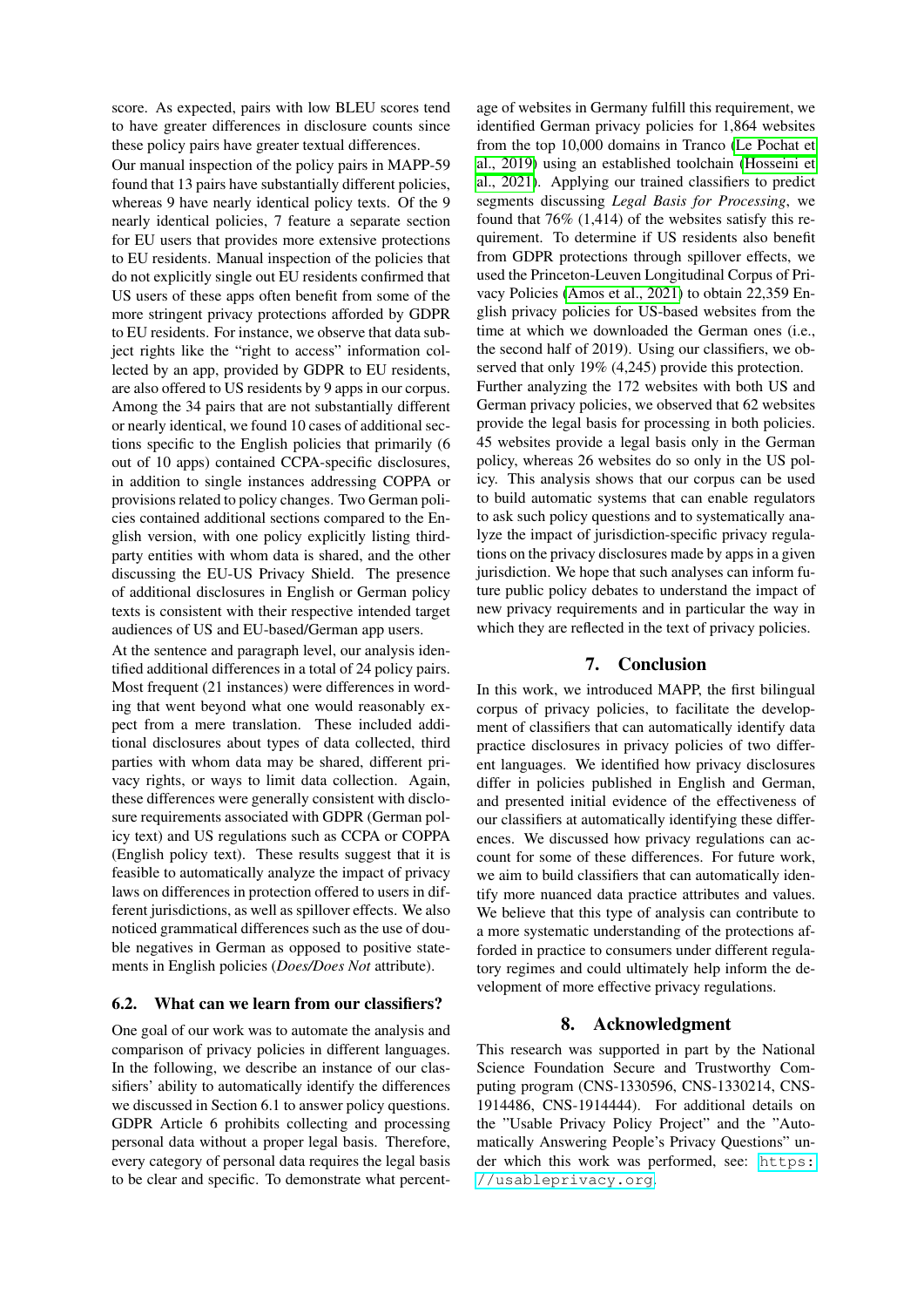score. As expected, pairs with low BLEU scores tend to have greater differences in disclosure counts since these policy pairs have greater textual differences.

Our manual inspection of the policy pairs in MAPP-59 found that 13 pairs have substantially different policies, whereas 9 have nearly identical policy texts. Of the 9 nearly identical policies, 7 feature a separate section for EU users that provides more extensive protections to EU residents. Manual inspection of the policies that do not explicitly single out EU residents confirmed that US users of these apps often benefit from some of the more stringent privacy protections afforded by GDPR to EU residents. For instance, we observe that data subject rights like the "right to access" information collected by an app, provided by GDPR to EU residents, are also offered to US residents by 9 apps in our corpus. Among the 34 pairs that are not substantially different or nearly identical, we found 10 cases of additional sections specific to the English policies that primarily (6 out of 10 apps) contained CCPA-specific disclosures, in addition to single instances addressing COPPA or provisions related to policy changes. Two German policies contained additional sections compared to the English version, with one policy explicitly listing thirdparty entities with whom data is shared, and the other discussing the EU-US Privacy Shield. The presence of additional disclosures in English or German policy texts is consistent with their respective intended target audiences of US and EU-based/German app users.

At the sentence and paragraph level, our analysis identified additional differences in a total of 24 policy pairs. Most frequent (21 instances) were differences in wording that went beyond what one would reasonably expect from a mere translation. These included additional disclosures about types of data collected, third parties with whom data may be shared, different privacy rights, or ways to limit data collection. Again, these differences were generally consistent with disclosure requirements associated with GDPR (German policy text) and US regulations such as CCPA or COPPA (English policy text). These results suggest that it is feasible to automatically analyze the impact of privacy laws on differences in protection offered to users in different jurisdictions, as well as spillover effects. We also noticed grammatical differences such as the use of double negatives in German as opposed to positive statements in English policies (*Does/Does Not* attribute).

### 6.2. What can we learn from our classifiers?

One goal of our work was to automate the analysis and comparison of privacy policies in different languages. In the following, we describe an instance of our classifiers' ability to automatically identify the differences we discussed in Section 6.1 to answer policy questions. GDPR Article 6 prohibits collecting and processing personal data without a proper legal basis. Therefore, every category of personal data requires the legal basis to be clear and specific. To demonstrate what percent-

age of websites in Germany fulfill this requirement, we identified German privacy policies for 1,864 websites from the top 10,000 domains in Tranco [\(Le Pochat et](#page-9-18) [al., 2019\)](#page-9-18) using an established toolchain [\(Hosseini et](#page-8-3) [al., 2021\)](#page-8-3). Applying our trained classifiers to predict segments discussing *Legal Basis for Processing*, we found that 76% (1,414) of the websites satisfy this requirement. To determine if US residents also benefit from GDPR protections through spillover effects, we used the Princeton-Leuven Longitudinal Corpus of Privacy Policies [\(Amos et al., 2021\)](#page-8-23) to obtain 22,359 English privacy policies for US-based websites from the time at which we downloaded the German ones (i.e., the second half of 2019). Using our classifiers, we observed that only 19% (4,245) provide this protection. Further analyzing the 172 websites with both US and German privacy policies, we observed that 62 websites provide the legal basis for processing in both policies. 45 websites provide a legal basis only in the German policy, whereas 26 websites do so only in the US policy. This analysis shows that our corpus can be used to build automatic systems that can enable regulators to ask such policy questions and to systematically analyze the impact of jurisdiction-specific privacy regulations on the privacy disclosures made by apps in a given jurisdiction. We hope that such analyses can inform future public policy debates to understand the impact of new privacy requirements and in particular the way in which they are reflected in the text of privacy policies.

### 7. Conclusion

In this work, we introduced MAPP, the first bilingual corpus of privacy policies, to facilitate the development of classifiers that can automatically identify data practice disclosures in privacy policies of two different languages. We identified how privacy disclosures differ in policies published in English and German, and presented initial evidence of the effectiveness of our classifiers at automatically identifying these differences. We discussed how privacy regulations can account for some of these differences. For future work, we aim to build classifiers that can automatically identify more nuanced data practice attributes and values. We believe that this type of analysis can contribute to a more systematic understanding of the protections afforded in practice to consumers under different regulatory regimes and could ultimately help inform the development of more effective privacy regulations.

### 8. Acknowledgment

This research was supported in part by the National Science Foundation Secure and Trustworthy Computing program (CNS-1330596, CNS-1330214, CNS-1914486, CNS-1914444). For additional details on the "Usable Privacy Policy Project" and the "Automatically Answering People's Privacy Questions" under which this work was performed, see: [https:](https://usableprivacy.org) [//usableprivacy.org](https://usableprivacy.org).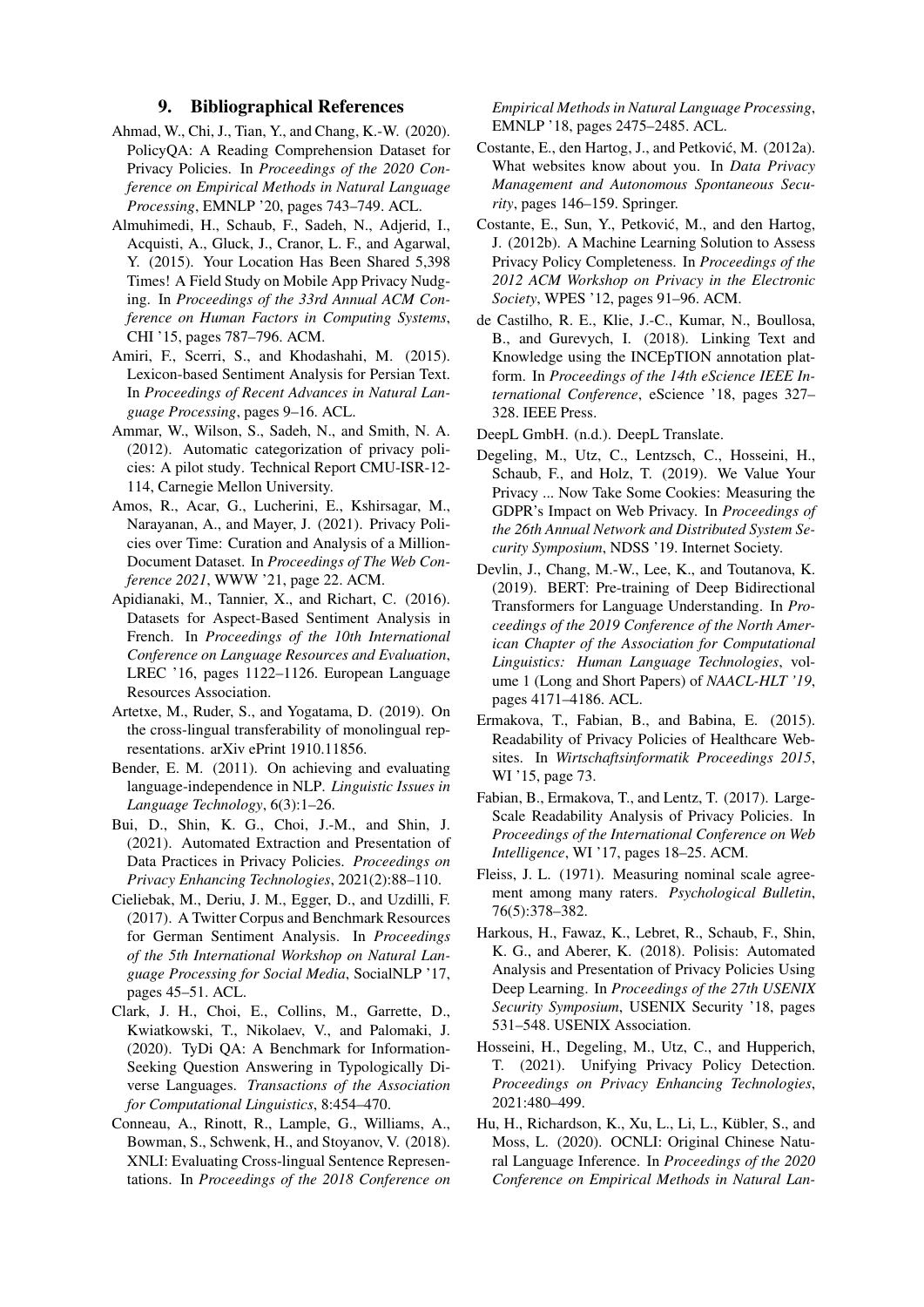### 9. Bibliographical References

- <span id="page-8-8"></span>Ahmad, W., Chi, J., Tian, Y., and Chang, K.-W. (2020). PolicyQA: A Reading Comprehension Dataset for Privacy Policies. In *Proceedings of the 2020 Conference on Empirical Methods in Natural Language Processing*, EMNLP '20, pages 743–749. ACL.
- <span id="page-8-18"></span>Almuhimedi, H., Schaub, F., Sadeh, N., Adjerid, I., Acquisti, A., Gluck, J., Cranor, L. F., and Agarwal, Y. (2015). Your Location Has Been Shared 5,398 Times! A Field Study on Mobile App Privacy Nudging. In *Proceedings of the 33rd Annual ACM Conference on Human Factors in Computing Systems*, CHI '15, pages 787–796. ACM.
- <span id="page-8-16"></span>Amiri, F., Scerri, S., and Khodashahi, M. (2015). Lexicon-based Sentiment Analysis for Persian Text. In *Proceedings of Recent Advances in Natural Language Processing*, pages 9–16. ACL.
- <span id="page-8-0"></span>Ammar, W., Wilson, S., Sadeh, N., and Smith, N. A. (2012). Automatic categorization of privacy policies: A pilot study. Technical Report CMU-ISR-12- 114, Carnegie Mellon University.
- <span id="page-8-23"></span>Amos, R., Acar, G., Lucherini, E., Kshirsagar, M., Narayanan, A., and Mayer, J. (2021). Privacy Policies over Time: Curation and Analysis of a Million-Document Dataset. In *Proceedings of The Web Conference 2021*, WWW '21, page 22. ACM.
- <span id="page-8-17"></span>Apidianaki, M., Tannier, X., and Richart, C. (2016). Datasets for Aspect-Based Sentiment Analysis in French. In *Proceedings of the 10th International Conference on Language Resources and Evaluation*, LREC '16, pages 1122–1126. European Language Resources Association.
- <span id="page-8-13"></span>Artetxe, M., Ruder, S., and Yogatama, D. (2019). On the cross-lingual transferability of monolingual representations. arXiv ePrint 1910.11856.
- <span id="page-8-10"></span>Bender, E. M. (2011). On achieving and evaluating language-independence in NLP. *Linguistic Issues in Language Technology*, 6(3):1–26.
- <span id="page-8-6"></span>Bui, D., Shin, K. G., Choi, J.-M., and Shin, J. (2021). Automated Extraction and Presentation of Data Practices in Privacy Policies. *Proceedings on Privacy Enhancing Technologies*, 2021(2):88–110.
- <span id="page-8-15"></span>Cieliebak, M., Deriu, J. M., Egger, D., and Uzdilli, F. (2017). A Twitter Corpus and Benchmark Resources for German Sentiment Analysis. In *Proceedings of the 5th International Workshop on Natural Language Processing for Social Media*, SocialNLP '17, pages 45–51. ACL.
- <span id="page-8-14"></span>Clark, J. H., Choi, E., Collins, M., Garrette, D., Kwiatkowski, T., Nikolaev, V., and Palomaki, J. (2020). TyDi QA: A Benchmark for Information-Seeking Question Answering in Typologically Diverse Languages. *Transactions of the Association for Computational Linguistics*, 8:454–470.
- <span id="page-8-12"></span>Conneau, A., Rinott, R., Lample, G., Williams, A., Bowman, S., Schwenk, H., and Stoyanov, V. (2018). XNLI: Evaluating Cross-lingual Sentence Representations. In *Proceedings of the 2018 Conference on*

*Empirical Methods in Natural Language Processing*, EMNLP '18, pages 2475–2485. ACL.

- <span id="page-8-4"></span>Costante, E., den Hartog, J., and Petković, M. (2012a). What websites know about you. In *Data Privacy Management and Autonomous Spontaneous Security*, pages 146–159. Springer.
- <span id="page-8-5"></span>Costante, E., Sun, Y., Petković, M., and den Hartog, J. (2012b). A Machine Learning Solution to Assess Privacy Policy Completeness. In *Proceedings of the 2012 ACM Workshop on Privacy in the Electronic Society*, WPES '12, pages 91–96. ACM.
- <span id="page-8-19"></span>de Castilho, R. E., Klie, J.-C., Kumar, N., Boullosa, B., and Gurevych, I. (2018). Linking Text and Knowledge using the INCEpTION annotation platform. In *Proceedings of the 14th eScience IEEE International Conference*, eScience '18, pages 327– 328. IEEE Press.

<span id="page-8-22"></span>DeepL GmbH. (n.d.). DeepL Translate.

- <span id="page-8-9"></span>Degeling, M., Utz, C., Lentzsch, C., Hosseini, H., Schaub, F., and Holz, T. (2019). We Value Your Privacy ... Now Take Some Cookies: Measuring the GDPR's Impact on Web Privacy. In *Proceedings of the 26th Annual Network and Distributed System Security Symposium*, NDSS '19. Internet Society.
- <span id="page-8-21"></span>Devlin, J., Chang, M.-W., Lee, K., and Toutanova, K. (2019). BERT: Pre-training of Deep Bidirectional Transformers for Language Understanding. In *Proceedings of the 2019 Conference of the North American Chapter of the Association for Computational Linguistics: Human Language Technologies*, volume 1 (Long and Short Papers) of *NAACL-HLT '19*, pages 4171–4186. ACL.
- <span id="page-8-2"></span>Ermakova, T., Fabian, B., and Babina, E. (2015). Readability of Privacy Policies of Healthcare Websites. In *Wirtschaftsinformatik Proceedings 2015*, WI '15, page 73.
- <span id="page-8-1"></span>Fabian, B., Ermakova, T., and Lentz, T. (2017). Large-Scale Readability Analysis of Privacy Policies. In *Proceedings of the International Conference on Web Intelligence*, WI '17, pages 18–25. ACM.
- <span id="page-8-20"></span>Fleiss, J. L. (1971). Measuring nominal scale agreement among many raters. *Psychological Bulletin*, 76(5):378–382.
- <span id="page-8-7"></span>Harkous, H., Fawaz, K., Lebret, R., Schaub, F., Shin, K. G., and Aberer, K. (2018). Polisis: Automated Analysis and Presentation of Privacy Policies Using Deep Learning. In *Proceedings of the 27th USENIX Security Symposium*, USENIX Security '18, pages 531–548. USENIX Association.
- <span id="page-8-3"></span>Hosseini, H., Degeling, M., Utz, C., and Hupperich, T. (2021). Unifying Privacy Policy Detection. *Proceedings on Privacy Enhancing Technologies*, 2021:480–499.
- <span id="page-8-11"></span>Hu, H., Richardson, K., Xu, L., Li, L., Kübler, S., and Moss, L. (2020). OCNLI: Original Chinese Natural Language Inference. In *Proceedings of the 2020 Conference on Empirical Methods in Natural Lan-*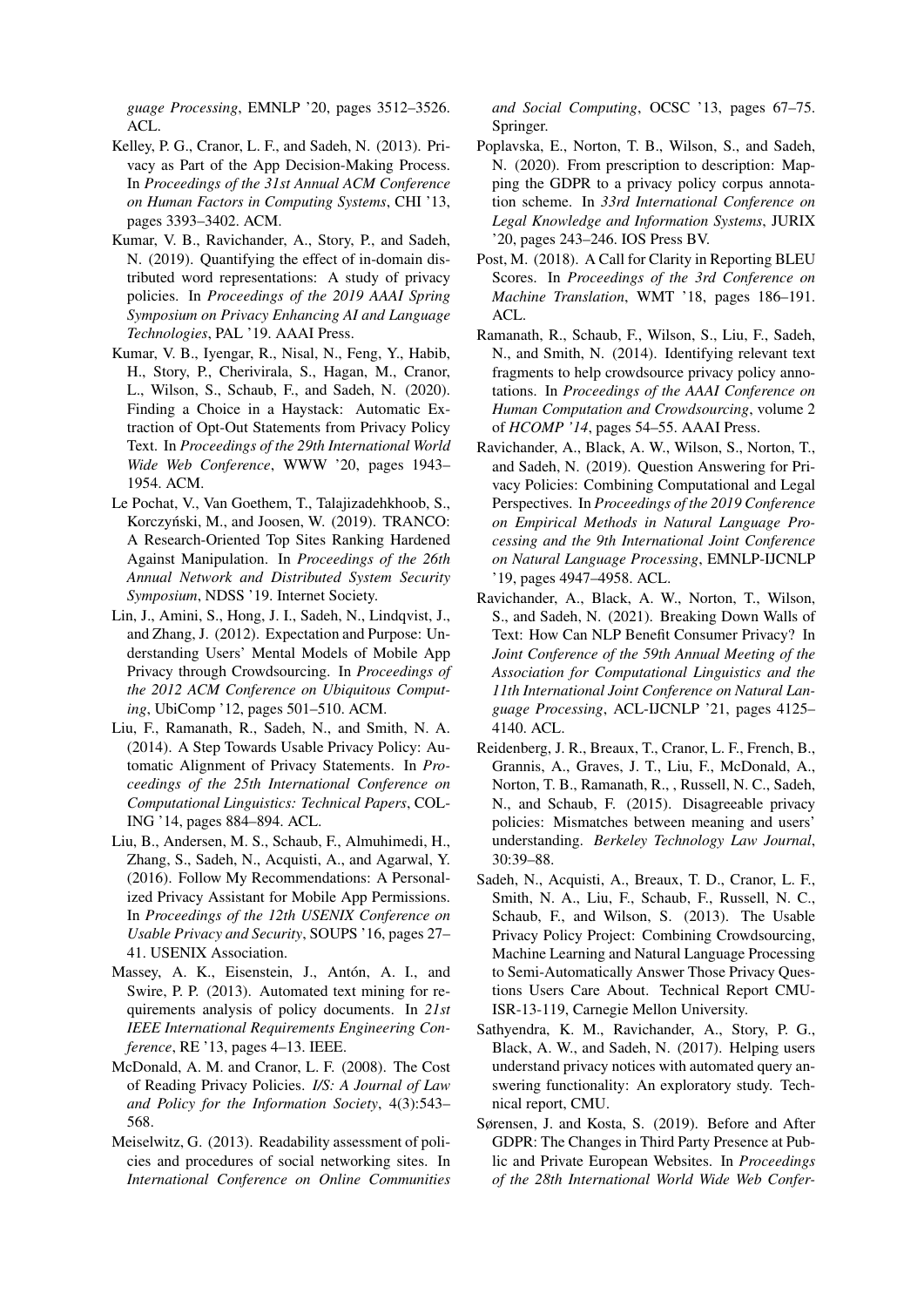*guage Processing*, EMNLP '20, pages 3512–3526. ACL.

- <span id="page-9-14"></span>Kelley, P. G., Cranor, L. F., and Sadeh, N. (2013). Privacy as Part of the App Decision-Making Process. In *Proceedings of the 31st Annual ACM Conference on Human Factors in Computing Systems*, CHI '13, pages 3393–3402. ACM.
- <span id="page-9-8"></span>Kumar, V. B., Ravichander, A., Story, P., and Sadeh, N. (2019). Quantifying the effect of in-domain distributed word representations: A study of privacy policies. In *Proceedings of the 2019 AAAI Spring Symposium on Privacy Enhancing AI and Language Technologies*, PAL '19. AAAI Press.
- <span id="page-9-9"></span>Kumar, V. B., Iyengar, R., Nisal, N., Feng, Y., Habib, H., Story, P., Cherivirala, S., Hagan, M., Cranor, L., Wilson, S., Schaub, F., and Sadeh, N. (2020). Finding a Choice in a Haystack: Automatic Extraction of Opt-Out Statements from Privacy Policy Text. In *Proceedings of the 29th International World Wide Web Conference*, WWW '20, pages 1943– 1954. ACM.
- <span id="page-9-18"></span>Le Pochat, V., Van Goethem, T., Talajizadehkhoob, S., Korczyński, M., and Joosen, W. (2019). TRANCO: A Research-Oriented Top Sites Ranking Hardened Against Manipulation. In *Proceedings of the 26th Annual Network and Distributed System Security Symposium*, NDSS '19. Internet Society.
- <span id="page-9-13"></span>Lin, J., Amini, S., Hong, J. I., Sadeh, N., Lindqvist, J., and Zhang, J. (2012). Expectation and Purpose: Understanding Users' Mental Models of Mobile App Privacy through Crowdsourcing. In *Proceedings of the 2012 ACM Conference on Ubiquitous Computing*, UbiComp '12, pages 501–510. ACM.
- <span id="page-9-2"></span>Liu, F., Ramanath, R., Sadeh, N., and Smith, N. A. (2014). A Step Towards Usable Privacy Policy: Automatic Alignment of Privacy Statements. In *Proceedings of the 25th International Conference on Computational Linguistics: Technical Papers*, COL-ING '14, pages 884–894. ACL.
- <span id="page-9-15"></span>Liu, B., Andersen, M. S., Schaub, F., Almuhimedi, H., Zhang, S., Sadeh, N., Acquisti, A., and Agarwal, Y. (2016). Follow My Recommendations: A Personalized Privacy Assistant for Mobile App Permissions. In *Proceedings of the 12th USENIX Conference on Usable Privacy and Security*, SOUPS '16, pages 27– 41. USENIX Association.
- <span id="page-9-5"></span>Massey, A. K., Eisenstein, J., Antón, A. I., and Swire, P. P. (2013). Automated text mining for requirements analysis of policy documents. In *21st IEEE International Requirements Engineering Conference*, RE '13, pages 4–13. IEEE.
- <span id="page-9-1"></span>McDonald, A. M. and Cranor, L. F. (2008). The Cost of Reading Privacy Policies. *I/S: A Journal of Law and Policy for the Information Society*, 4(3):543– 568.
- <span id="page-9-6"></span>Meiselwitz, G. (2013). Readability assessment of policies and procedures of social networking sites. In *International Conference on Online Communities*

*and Social Computing*, OCSC '13, pages 67–75. Springer.

- <span id="page-9-16"></span>Poplavska, E., Norton, T. B., Wilson, S., and Sadeh, N. (2020). From prescription to description: Mapping the GDPR to a privacy policy corpus annotation scheme. In *33rd International Conference on Legal Knowledge and Information Systems*, JURIX '20, pages 243–246. IOS Press BV.
- <span id="page-9-17"></span>Post, M. (2018). A Call for Clarity in Reporting BLEU Scores. In *Proceedings of the 3rd Conference on Machine Translation*, WMT '18, pages 186–191. ACL.
- <span id="page-9-7"></span>Ramanath, R., Schaub, F., Wilson, S., Liu, F., Sadeh, N., and Smith, N. (2014). Identifying relevant text fragments to help crowdsource privacy policy annotations. In *Proceedings of the AAAI Conference on Human Computation and Crowdsourcing*, volume 2 of *HCOMP '14*, pages 54–55. AAAI Press.
- <span id="page-9-10"></span>Ravichander, A., Black, A. W., Wilson, S., Norton, T., and Sadeh, N. (2019). Question Answering for Privacy Policies: Combining Computational and Legal Perspectives. In *Proceedings of the 2019 Conference on Empirical Methods in Natural Language Processing and the 9th International Joint Conference on Natural Language Processing*, EMNLP-IJCNLP '19, pages 4947–4958. ACL.
- <span id="page-9-4"></span>Ravichander, A., Black, A. W., Norton, T., Wilson, S., and Sadeh, N. (2021). Breaking Down Walls of Text: How Can NLP Benefit Consumer Privacy? In *Joint Conference of the 59th Annual Meeting of the Association for Computational Linguistics and the 11th International Joint Conference on Natural Language Processing*, ACL-IJCNLP '21, pages 4125– 4140. ACL.
- <span id="page-9-0"></span>Reidenberg, J. R., Breaux, T., Cranor, L. F., French, B., Grannis, A., Graves, J. T., Liu, F., McDonald, A., Norton, T. B., Ramanath, R., , Russell, N. C., Sadeh, N., and Schaub, F. (2015). Disagreeable privacy policies: Mismatches between meaning and users' understanding. *Berkeley Technology Law Journal*, 30:39–88.
- <span id="page-9-3"></span>Sadeh, N., Acquisti, A., Breaux, T. D., Cranor, L. F., Smith, N. A., Liu, F., Schaub, F., Russell, N. C., Schaub, F., and Wilson, S. (2013). The Usable Privacy Policy Project: Combining Crowdsourcing, Machine Learning and Natural Language Processing to Semi-Automatically Answer Those Privacy Questions Users Care About. Technical Report CMU-ISR-13-119, Carnegie Mellon University.
- <span id="page-9-11"></span>Sathyendra, K. M., Ravichander, A., Story, P. G., Black, A. W., and Sadeh, N. (2017). Helping users understand privacy notices with automated query answering functionality: An exploratory study. Technical report, CMU.
- <span id="page-9-12"></span>Sørensen, J. and Kosta, S. (2019). Before and After GDPR: The Changes in Third Party Presence at Public and Private European Websites. In *Proceedings of the 28th International World Wide Web Confer-*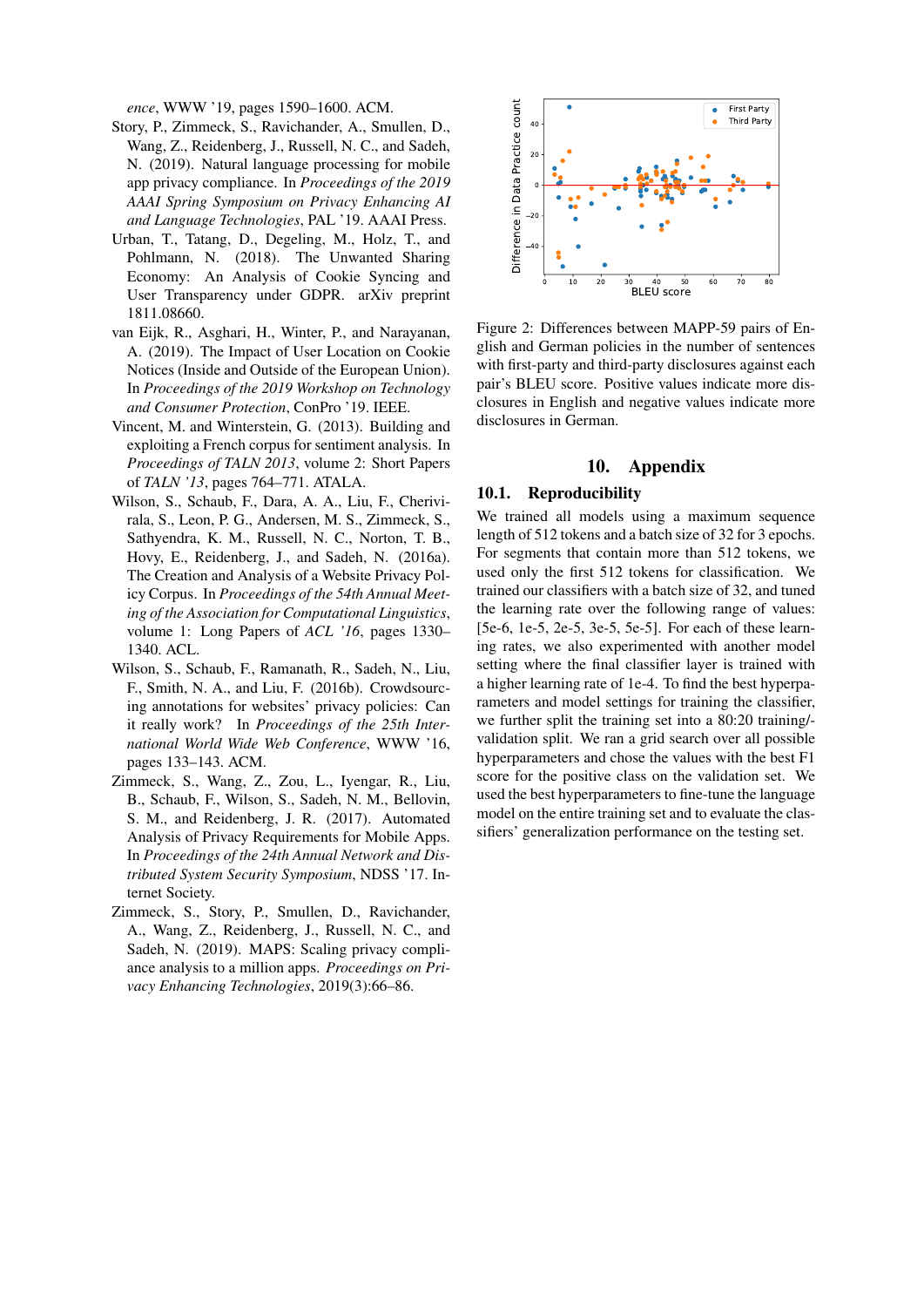*ence*, WWW '19, pages 1590–1600. ACM.

- <span id="page-10-3"></span>Story, P., Zimmeck, S., Ravichander, A., Smullen, D., Wang, Z., Reidenberg, J., Russell, N. C., and Sadeh, N. (2019). Natural language processing for mobile app privacy compliance. In *Proceedings of the 2019 AAAI Spring Symposium on Privacy Enhancing AI and Language Technologies*, PAL '19. AAAI Press.
- <span id="page-10-5"></span>Urban, T., Tatang, D., Degeling, M., Holz, T., and Pohlmann, N. (2018). The Unwanted Sharing Economy: An Analysis of Cookie Syncing and User Transparency under GDPR. arXiv preprint 1811.08660.
- <span id="page-10-8"></span>van Eijk, R., Asghari, H., Winter, P., and Narayanan, A. (2019). The Impact of User Location on Cookie Notices (Inside and Outside of the European Union). In *Proceedings of the 2019 Workshop on Technology and Consumer Protection*, ConPro '19. IEEE.
- <span id="page-10-6"></span>Vincent, M. and Winterstein, G. (2013). Building and exploiting a French corpus for sentiment analysis. In *Proceedings of TALN 2013*, volume 2: Short Papers of *TALN '13*, pages 764–771. ATALA.
- <span id="page-10-0"></span>Wilson, S., Schaub, F., Dara, A. A., Liu, F., Cherivirala, S., Leon, P. G., Andersen, M. S., Zimmeck, S., Sathyendra, K. M., Russell, N. C., Norton, T. B., Hovy, E., Reidenberg, J., and Sadeh, N. (2016a). The Creation and Analysis of a Website Privacy Policy Corpus. In *Proceedings of the 54th Annual Meeting of the Association for Computational Linguistics*, volume 1: Long Papers of *ACL '16*, pages 1330– 1340. ACL.
- <span id="page-10-1"></span>Wilson, S., Schaub, F., Ramanath, R., Sadeh, N., Liu, F., Smith, N. A., and Liu, F. (2016b). Crowdsourcing annotations for websites' privacy policies: Can it really work? In *Proceedings of the 25th International World Wide Web Conference*, WWW '16, pages 133–143. ACM.
- <span id="page-10-2"></span>Zimmeck, S., Wang, Z., Zou, L., Iyengar, R., Liu, B., Schaub, F., Wilson, S., Sadeh, N. M., Bellovin, S. M., and Reidenberg, J. R. (2017). Automated Analysis of Privacy Requirements for Mobile Apps. In *Proceedings of the 24th Annual Network and Distributed System Security Symposium*, NDSS '17. Internet Society.
- <span id="page-10-4"></span>Zimmeck, S., Story, P., Smullen, D., Ravichander, A., Wang, Z., Reidenberg, J., Russell, N. C., and Sadeh, N. (2019). MAPS: Scaling privacy compliance analysis to a million apps. *Proceedings on Privacy Enhancing Technologies*, 2019(3):66–86.



<span id="page-10-9"></span>Figure 2: Differences between MAPP-59 pairs of English and German policies in the number of sentences with first-party and third-party disclosures against each pair's BLEU score. Positive values indicate more disclosures in English and negative values indicate more disclosures in German.

### 10. Appendix

#### <span id="page-10-7"></span>10.1. Reproducibility

We trained all models using a maximum sequence length of 512 tokens and a batch size of 32 for 3 epochs. For segments that contain more than 512 tokens, we used only the first 512 tokens for classification. We trained our classifiers with a batch size of 32, and tuned the learning rate over the following range of values: [5e-6, 1e-5, 2e-5, 3e-5, 5e-5]. For each of these learning rates, we also experimented with another model setting where the final classifier layer is trained with a higher learning rate of 1e-4. To find the best hyperparameters and model settings for training the classifier, we further split the training set into a 80:20 training/ validation split. We ran a grid search over all possible hyperparameters and chose the values with the best F1 score for the positive class on the validation set. We used the best hyperparameters to fine-tune the language model on the entire training set and to evaluate the classifiers' generalization performance on the testing set.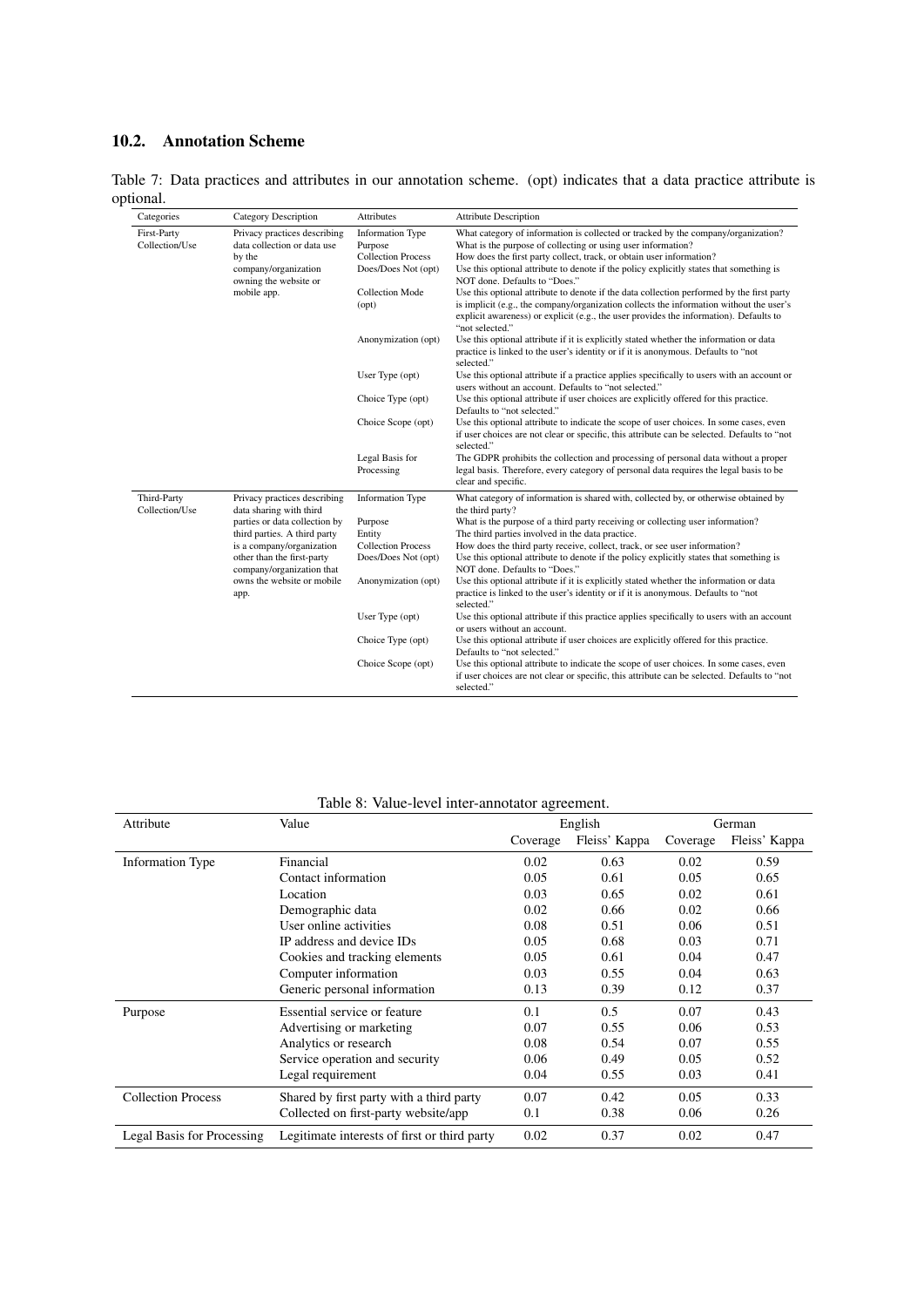## 10.2. Annotation Scheme

<span id="page-11-0"></span>Table 7: Data practices and attributes in our annotation scheme. (opt) indicates that a data practice attribute is optional.

| Categories                    | <b>Category Description</b>                                                                                                           | <b>Attributes</b>                                                                                                | <b>Attribute Description</b>                                                                                                                                                                                                                                                                                                                                                                                                                       |
|-------------------------------|---------------------------------------------------------------------------------------------------------------------------------------|------------------------------------------------------------------------------------------------------------------|----------------------------------------------------------------------------------------------------------------------------------------------------------------------------------------------------------------------------------------------------------------------------------------------------------------------------------------------------------------------------------------------------------------------------------------------------|
| First-Party<br>Collection/Use | Privacy practices describing<br>data collection or data use<br>by the<br>company/organization<br>owning the website or<br>mobile app. | <b>Information Type</b><br>Purpose<br><b>Collection Process</b><br>Does/Does Not (opt)<br><b>Collection Mode</b> | What category of information is collected or tracked by the company/organization?<br>What is the purpose of collecting or using user information?<br>How does the first party collect, track, or obtain user information?<br>Use this optional attribute to denote if the policy explicitly states that something is<br>NOT done. Defaults to "Does."<br>Use this optional attribute to denote if the data collection performed by the first party |
|                               |                                                                                                                                       | (opt)                                                                                                            | is implicit (e.g., the company/organization collects the information without the user's<br>explicit awareness) or explicit (e.g., the user provides the information). Defaults to<br>"not selected."                                                                                                                                                                                                                                               |
|                               |                                                                                                                                       | Anonymization (opt)                                                                                              | Use this optional attribute if it is explicitly stated whether the information or data<br>practice is linked to the user's identity or if it is anonymous. Defaults to "not<br>selected."                                                                                                                                                                                                                                                          |
|                               |                                                                                                                                       | User Type (opt)                                                                                                  | Use this optional attribute if a practice applies specifically to users with an account or<br>users without an account. Defaults to "not selected."                                                                                                                                                                                                                                                                                                |
|                               |                                                                                                                                       | Choice Type (opt)                                                                                                | Use this optional attribute if user choices are explicitly offered for this practice.<br>Defaults to "not selected."                                                                                                                                                                                                                                                                                                                               |
|                               |                                                                                                                                       | Choice Scope (opt)                                                                                               | Use this optional attribute to indicate the scope of user choices. In some cases, even<br>if user choices are not clear or specific, this attribute can be selected. Defaults to "not<br>selected."                                                                                                                                                                                                                                                |
|                               |                                                                                                                                       | Legal Basis for<br>Processing                                                                                    | The GDPR prohibits the collection and processing of personal data without a proper<br>legal basis. Therefore, every category of personal data requires the legal basis to be<br>clear and specific.                                                                                                                                                                                                                                                |
| Third-Party<br>Collection/Use | Privacy practices describing<br>data sharing with third                                                                               | <b>Information Type</b>                                                                                          | What category of information is shared with, collected by, or otherwise obtained by<br>the third party?                                                                                                                                                                                                                                                                                                                                            |
|                               | parties or data collection by<br>third parties. A third party                                                                         | Purpose<br>Entity                                                                                                | What is the purpose of a third party receiving or collecting user information?<br>The third parties involved in the data practice.                                                                                                                                                                                                                                                                                                                 |
|                               | is a company/organization                                                                                                             | <b>Collection Process</b>                                                                                        | How does the third party receive, collect, track, or see user information?                                                                                                                                                                                                                                                                                                                                                                         |
|                               | other than the first-party<br>company/organization that                                                                               | Does/Does Not (opt)                                                                                              | Use this optional attribute to denote if the policy explicitly states that something is<br>NOT done. Defaults to "Does."                                                                                                                                                                                                                                                                                                                           |
|                               | owns the website or mobile<br>app.                                                                                                    | Anonymization (opt)                                                                                              | Use this optional attribute if it is explicitly stated whether the information or data<br>practice is linked to the user's identity or if it is anonymous. Defaults to "not<br>selected."                                                                                                                                                                                                                                                          |
|                               |                                                                                                                                       | User Type (opt)                                                                                                  | Use this optional attribute if this practice applies specifically to users with an account<br>or users without an account.                                                                                                                                                                                                                                                                                                                         |
|                               |                                                                                                                                       | Choice Type (opt)                                                                                                | Use this optional attribute if user choices are explicitly offered for this practice.<br>Defaults to "not selected."                                                                                                                                                                                                                                                                                                                               |
|                               |                                                                                                                                       | Choice Scope (opt)                                                                                               | Use this optional attribute to indicate the scope of user choices. In some cases, even<br>if user choices are not clear or specific, this attribute can be selected. Defaults to "not<br>selected."                                                                                                                                                                                                                                                |

## <span id="page-11-1"></span>Table 8: Value-level inter-annotator agreement.

| Attribute                  | Value                                        | English  |               | German   |               |
|----------------------------|----------------------------------------------|----------|---------------|----------|---------------|
|                            |                                              | Coverage | Fleiss' Kappa | Coverage | Fleiss' Kappa |
| <b>Information Type</b>    | Financial                                    | 0.02     | 0.63          | 0.02     | 0.59          |
|                            | Contact information                          | 0.05     | 0.61          | 0.05     | 0.65          |
|                            | Location                                     | 0.03     | 0.65          | 0.02     | 0.61          |
|                            | Demographic data                             | 0.02     | 0.66          | 0.02     | 0.66          |
|                            | User online activities                       | 0.08     | 0.51          | 0.06     | 0.51          |
|                            | IP address and device IDs                    | 0.05     | 0.68          | 0.03     | 0.71          |
|                            | Cookies and tracking elements                | 0.05     | 0.61          | 0.04     | 0.47          |
|                            | Computer information                         | 0.03     | 0.55          | 0.04     | 0.63          |
|                            | Generic personal information                 | 0.13     | 0.39          | 0.12     | 0.37          |
| Purpose                    | Essential service or feature                 | 0.1      | 0.5           | 0.07     | 0.43          |
|                            | Advertising or marketing                     | 0.07     | 0.55          | 0.06     | 0.53          |
|                            | Analytics or research                        | 0.08     | 0.54          | 0.07     | 0.55          |
|                            | Service operation and security               | 0.06     | 0.49          | 0.05     | 0.52          |
|                            | Legal requirement                            | 0.04     | 0.55          | 0.03     | 0.41          |
| <b>Collection Process</b>  | Shared by first party with a third party     | 0.07     | 0.42          | 0.05     | 0.33          |
|                            | Collected on first-party website/app         | 0.1      | 0.38          | 0.06     | 0.26          |
| Legal Basis for Processing | Legitimate interests of first or third party | 0.02     | 0.37          | 0.02     | 0.47          |